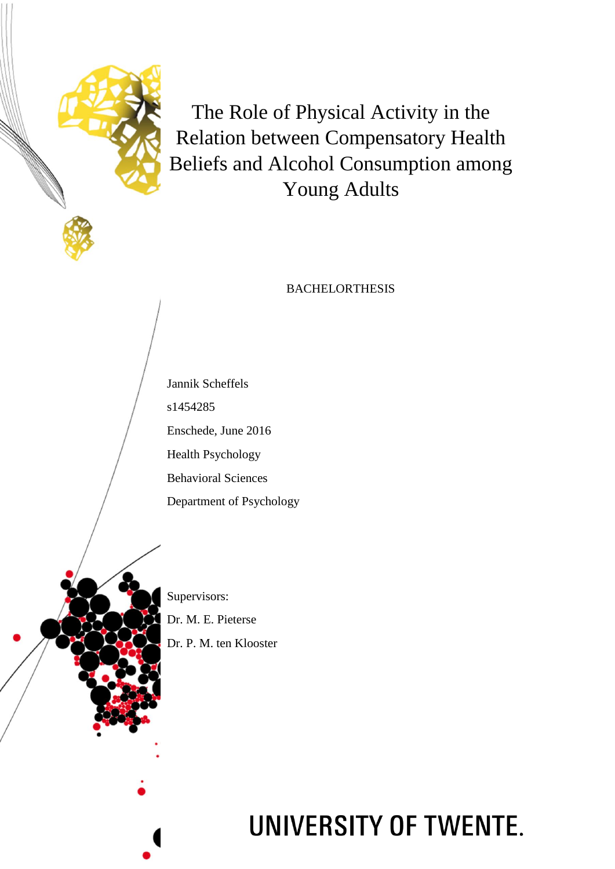

The Role of Physical Activity in the Relation between Compensatory Health Beliefs and Alcohol Consumption among Young Adults

# **BACHELORTHESIS**

Jannik Scheffels s1454285 Enschede, June 2016 Health Psychology Behavioral Sciences Department of Psychology

Supervisors:

Dr. M. E. Pieterse Dr. P. M. ten Klooster

# UNIVERSITY OF TWENTE.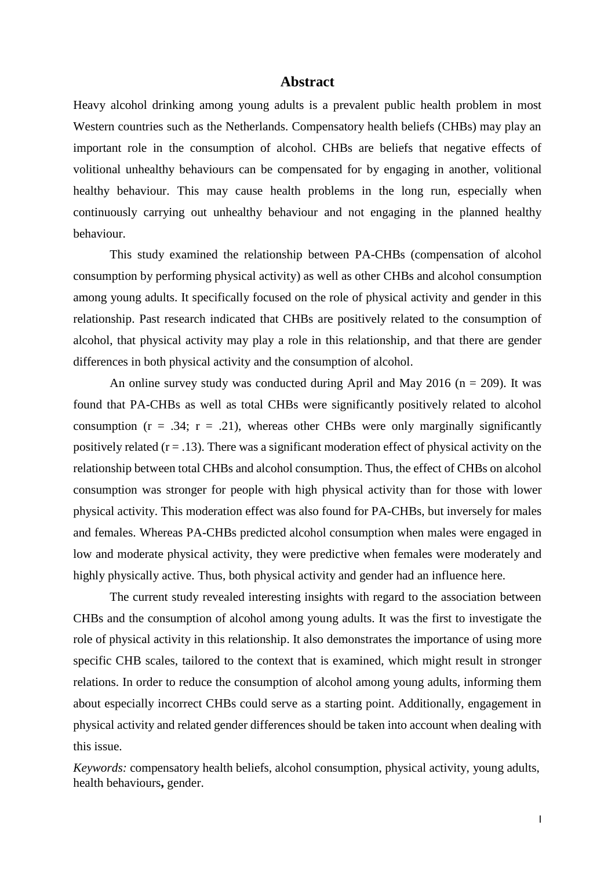#### **Abstract**

Heavy alcohol drinking among young adults is a prevalent public health problem in most Western countries such as the Netherlands. Compensatory health beliefs (CHBs) may play an important role in the consumption of alcohol. CHBs are beliefs that negative effects of volitional unhealthy behaviours can be compensated for by engaging in another, volitional healthy behaviour. This may cause health problems in the long run, especially when continuously carrying out unhealthy behaviour and not engaging in the planned healthy behaviour.

This study examined the relationship between PA-CHBs (compensation of alcohol consumption by performing physical activity) as well as other CHBs and alcohol consumption among young adults. It specifically focused on the role of physical activity and gender in this relationship. Past research indicated that CHBs are positively related to the consumption of alcohol, that physical activity may play a role in this relationship, and that there are gender differences in both physical activity and the consumption of alcohol.

An online survey study was conducted during April and May 2016 ( $n = 209$ ). It was found that PA-CHBs as well as total CHBs were significantly positively related to alcohol consumption  $(r = .34; r = .21)$ , whereas other CHBs were only marginally significantly positively related  $(r = .13)$ . There was a significant moderation effect of physical activity on the relationship between total CHBs and alcohol consumption. Thus, the effect of CHBs on alcohol consumption was stronger for people with high physical activity than for those with lower physical activity. This moderation effect was also found for PA-CHBs, but inversely for males and females. Whereas PA-CHBs predicted alcohol consumption when males were engaged in low and moderate physical activity, they were predictive when females were moderately and highly physically active. Thus, both physical activity and gender had an influence here.

The current study revealed interesting insights with regard to the association between CHBs and the consumption of alcohol among young adults. It was the first to investigate the role of physical activity in this relationship. It also demonstrates the importance of using more specific CHB scales, tailored to the context that is examined, which might result in stronger relations. In order to reduce the consumption of alcohol among young adults, informing them about especially incorrect CHBs could serve as a starting point. Additionally, engagement in physical activity and related gender differences should be taken into account when dealing with this issue.

*Keywords:* compensatory health beliefs, alcohol consumption, physical activity, young adults, health behaviours**,** gender.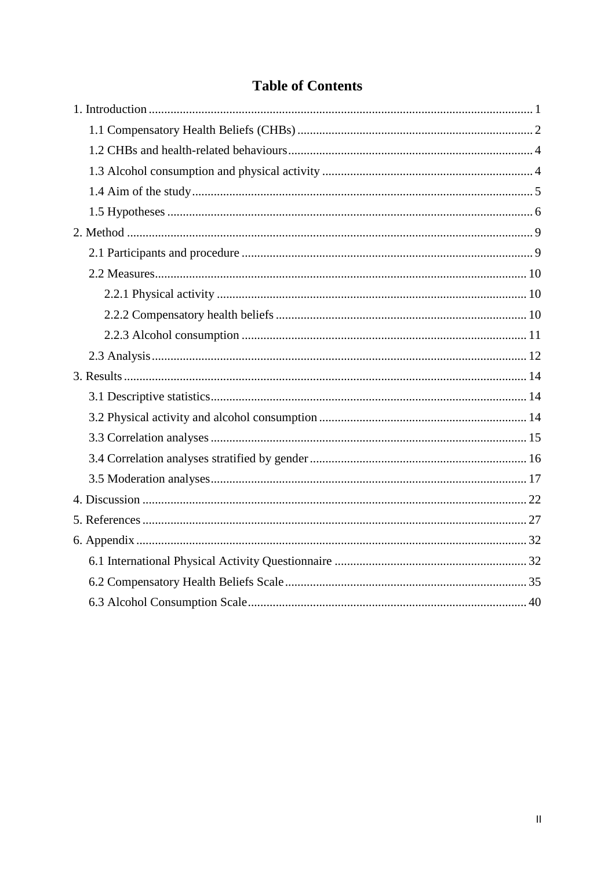# **Table of Contents**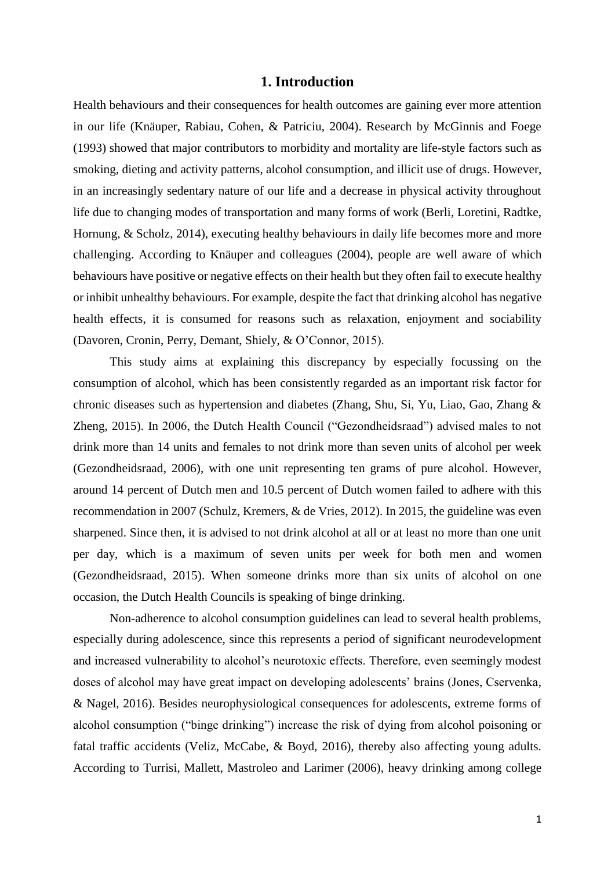# **1. Introduction**

<span id="page-3-0"></span>Health behaviours and their consequences for health outcomes are gaining ever more attention in our life (Knäuper, Rabiau, Cohen, & Patriciu, 2004). Research by McGinnis and Foege (1993) showed that major contributors to morbidity and mortality are life-style factors such as smoking, dieting and activity patterns, alcohol consumption, and illicit use of drugs. However, in an increasingly sedentary nature of our life and a decrease in physical activity throughout life due to changing modes of transportation and many forms of work (Berli, Loretini, Radtke, Hornung, & Scholz, 2014), executing healthy behaviours in daily life becomes more and more challenging. According to Knäuper and colleagues (2004), people are well aware of which behaviours have positive or negative effects on their health but they often fail to execute healthy or inhibit unhealthy behaviours. For example, despite the fact that drinking alcohol has negative health effects, it is consumed for reasons such as relaxation, enjoyment and sociability (Davoren, Cronin, Perry, Demant, Shiely, & O'Connor, 2015).

This study aims at explaining this discrepancy by especially focussing on the consumption of alcohol, which has been consistently regarded as an important risk factor for chronic diseases such as hypertension and diabetes (Zhang, Shu, Si, Yu, Liao, Gao, Zhang & Zheng, 2015). In 2006, the Dutch Health Council ("Gezondheidsraad") advised males to not drink more than 14 units and females to not drink more than seven units of alcohol per week (Gezondheidsraad, 2006), with one unit representing ten grams of pure alcohol. However, around 14 percent of Dutch men and 10.5 percent of Dutch women failed to adhere with this recommendation in 2007 (Schulz, Kremers, & de Vries, 2012). In 2015, the guideline was even sharpened. Since then, it is advised to not drink alcohol at all or at least no more than one unit per day, which is a maximum of seven units per week for both men and women (Gezondheidsraad, 2015). When someone drinks more than six units of alcohol on one occasion, the Dutch Health Councils is speaking of binge drinking.

Non-adherence to alcohol consumption guidelines can lead to several health problems, especially during adolescence, since this represents a period of significant neurodevelopment and increased vulnerability to alcohol's neurotoxic effects. Therefore, even seemingly modest doses of alcohol may have great impact on developing adolescents' brains (Jones, Cservenka, & Nagel, 2016). Besides neurophysiological consequences for adolescents, extreme forms of alcohol consumption ("binge drinking") increase the risk of dying from alcohol poisoning or fatal traffic accidents (Veliz, McCabe, & Boyd, 2016), thereby also affecting young adults. According to Turrisi, Mallett, Mastroleo and Larimer (2006), heavy drinking among college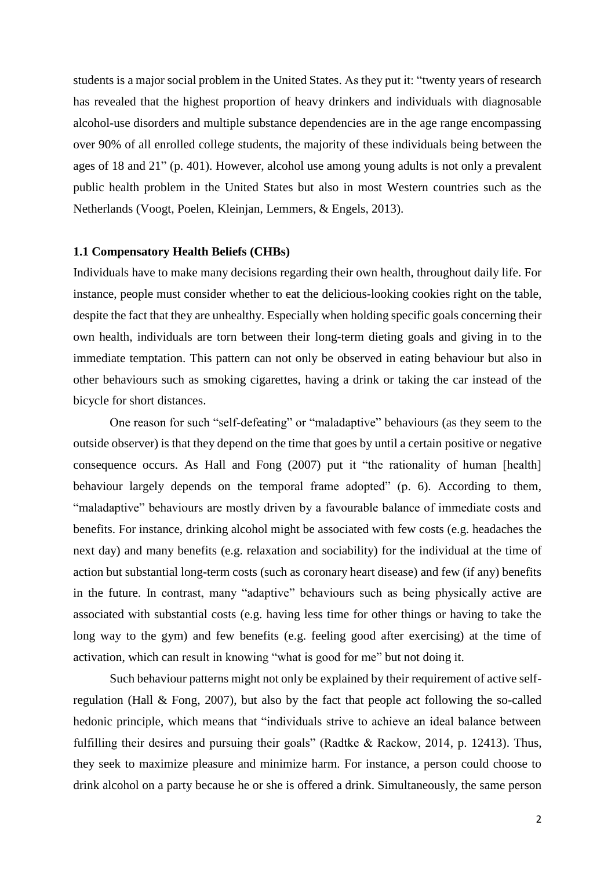students is a major social problem in the United States. As they put it: "twenty years of research has revealed that the highest proportion of heavy drinkers and individuals with diagnosable alcohol-use disorders and multiple substance dependencies are in the age range encompassing over 90% of all enrolled college students, the majority of these individuals being between the ages of 18 and 21" (p. 401). However, alcohol use among young adults is not only a prevalent public health problem in the United States but also in most Western countries such as the Netherlands (Voogt, Poelen, Kleinjan, Lemmers, & Engels, 2013).

#### <span id="page-4-0"></span>**1.1 Compensatory Health Beliefs (CHBs)**

Individuals have to make many decisions regarding their own health, throughout daily life. For instance, people must consider whether to eat the delicious-looking cookies right on the table, despite the fact that they are unhealthy. Especially when holding specific goals concerning their own health, individuals are torn between their long-term dieting goals and giving in to the immediate temptation. This pattern can not only be observed in eating behaviour but also in other behaviours such as smoking cigarettes, having a drink or taking the car instead of the bicycle for short distances.

One reason for such "self-defeating" or "maladaptive" behaviours (as they seem to the outside observer) is that they depend on the time that goes by until a certain positive or negative consequence occurs. As Hall and Fong (2007) put it "the rationality of human [health] behaviour largely depends on the temporal frame adopted" (p. 6). According to them, "maladaptive" behaviours are mostly driven by a favourable balance of immediate costs and benefits. For instance, drinking alcohol might be associated with few costs (e.g. headaches the next day) and many benefits (e.g. relaxation and sociability) for the individual at the time of action but substantial long-term costs (such as coronary heart disease) and few (if any) benefits in the future. In contrast, many "adaptive" behaviours such as being physically active are associated with substantial costs (e.g. having less time for other things or having to take the long way to the gym) and few benefits (e.g. feeling good after exercising) at the time of activation, which can result in knowing "what is good for me" but not doing it.

Such behaviour patterns might not only be explained by their requirement of active selfregulation (Hall & Fong, 2007), but also by the fact that people act following the so-called hedonic principle, which means that "individuals strive to achieve an ideal balance between fulfilling their desires and pursuing their goals" (Radtke & Rackow, 2014, p. 12413). Thus, they seek to maximize pleasure and minimize harm. For instance, a person could choose to drink alcohol on a party because he or she is offered a drink. Simultaneously, the same person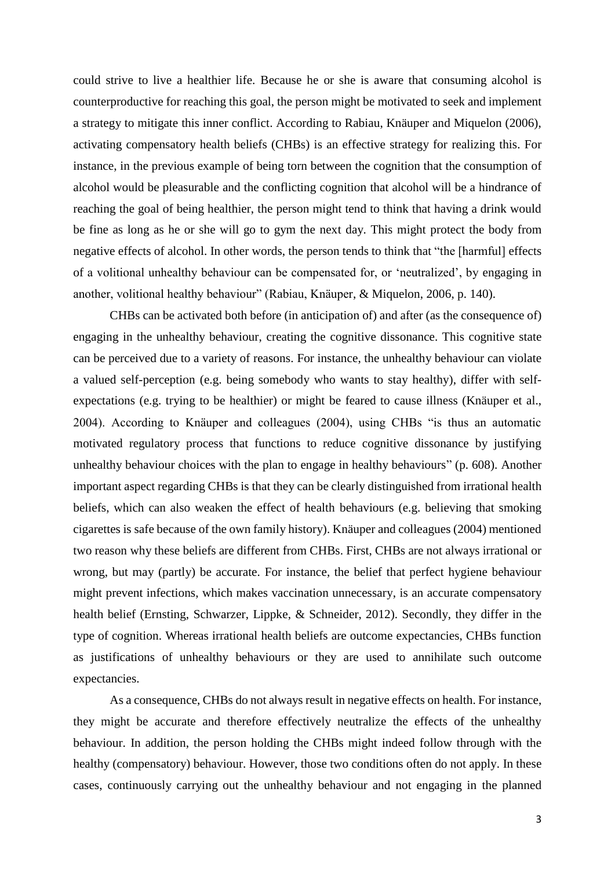could strive to live a healthier life. Because he or she is aware that consuming alcohol is counterproductive for reaching this goal, the person might be motivated to seek and implement a strategy to mitigate this inner conflict. According to Rabiau, Knäuper and Miquelon (2006), activating compensatory health beliefs (CHBs) is an effective strategy for realizing this. For instance, in the previous example of being torn between the cognition that the consumption of alcohol would be pleasurable and the conflicting cognition that alcohol will be a hindrance of reaching the goal of being healthier, the person might tend to think that having a drink would be fine as long as he or she will go to gym the next day. This might protect the body from negative effects of alcohol. In other words, the person tends to think that "the [harmful] effects of a volitional unhealthy behaviour can be compensated for, or 'neutralized', by engaging in another, volitional healthy behaviour" (Rabiau, Knäuper, & Miquelon, 2006, p. 140).

CHBs can be activated both before (in anticipation of) and after (as the consequence of) engaging in the unhealthy behaviour, creating the cognitive dissonance. This cognitive state can be perceived due to a variety of reasons. For instance, the unhealthy behaviour can violate a valued self-perception (e.g. being somebody who wants to stay healthy), differ with selfexpectations (e.g. trying to be healthier) or might be feared to cause illness (Knäuper et al., 2004). According to Knäuper and colleagues (2004), using CHBs "is thus an automatic motivated regulatory process that functions to reduce cognitive dissonance by justifying unhealthy behaviour choices with the plan to engage in healthy behaviours" (p. 608). Another important aspect regarding CHBs is that they can be clearly distinguished from irrational health beliefs, which can also weaken the effect of health behaviours (e.g. believing that smoking cigarettes is safe because of the own family history). Knäuper and colleagues (2004) mentioned two reason why these beliefs are different from CHBs. First, CHBs are not always irrational or wrong, but may (partly) be accurate. For instance, the belief that perfect hygiene behaviour might prevent infections, which makes vaccination unnecessary, is an accurate compensatory health belief (Ernsting, Schwarzer, Lippke, & Schneider, 2012). Secondly, they differ in the type of cognition. Whereas irrational health beliefs are outcome expectancies, CHBs function as justifications of unhealthy behaviours or they are used to annihilate such outcome expectancies.

As a consequence, CHBs do not always result in negative effects on health. For instance, they might be accurate and therefore effectively neutralize the effects of the unhealthy behaviour. In addition, the person holding the CHBs might indeed follow through with the healthy (compensatory) behaviour. However, those two conditions often do not apply. In these cases, continuously carrying out the unhealthy behaviour and not engaging in the planned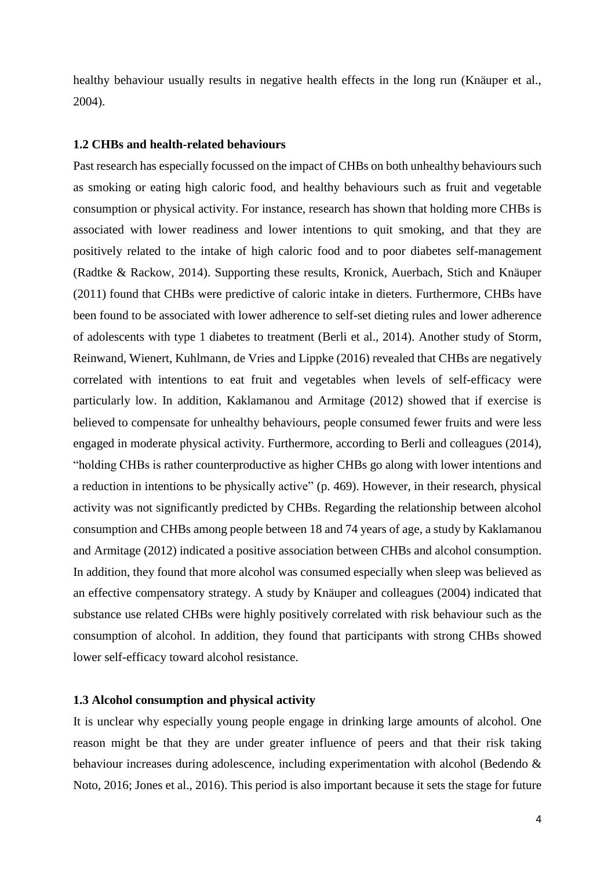healthy behaviour usually results in negative health effects in the long run (Knäuper et al., 2004).

#### <span id="page-6-0"></span>**1.2 CHBs and health-related behaviours**

Past research has especially focussed on the impact of CHBs on both unhealthy behaviours such as smoking or eating high caloric food, and healthy behaviours such as fruit and vegetable consumption or physical activity. For instance, research has shown that holding more CHBs is associated with lower readiness and lower intentions to quit smoking, and that they are positively related to the intake of high caloric food and to poor diabetes self-management (Radtke & Rackow, 2014). Supporting these results, Kronick, Auerbach, Stich and Knäuper (2011) found that CHBs were predictive of caloric intake in dieters. Furthermore, CHBs have been found to be associated with lower adherence to self-set dieting rules and lower adherence of adolescents with type 1 diabetes to treatment (Berli et al., 2014). Another study of Storm, Reinwand, Wienert, Kuhlmann, de Vries and Lippke (2016) revealed that CHBs are negatively correlated with intentions to eat fruit and vegetables when levels of self-efficacy were particularly low. In addition, Kaklamanou and Armitage (2012) showed that if exercise is believed to compensate for unhealthy behaviours, people consumed fewer fruits and were less engaged in moderate physical activity. Furthermore, according to Berli and colleagues (2014), "holding CHBs is rather counterproductive as higher CHBs go along with lower intentions and a reduction in intentions to be physically active" (p. 469). However, in their research, physical activity was not significantly predicted by CHBs. Regarding the relationship between alcohol consumption and CHBs among people between 18 and 74 years of age, a study by Kaklamanou and Armitage (2012) indicated a positive association between CHBs and alcohol consumption. In addition, they found that more alcohol was consumed especially when sleep was believed as an effective compensatory strategy. A study by Knäuper and colleagues (2004) indicated that substance use related CHBs were highly positively correlated with risk behaviour such as the consumption of alcohol. In addition, they found that participants with strong CHBs showed lower self-efficacy toward alcohol resistance.

# <span id="page-6-1"></span>**1.3 Alcohol consumption and physical activity**

It is unclear why especially young people engage in drinking large amounts of alcohol. One reason might be that they are under greater influence of peers and that their risk taking behaviour increases during adolescence, including experimentation with alcohol (Bedendo & Noto, 2016; Jones et al., 2016). This period is also important because it sets the stage for future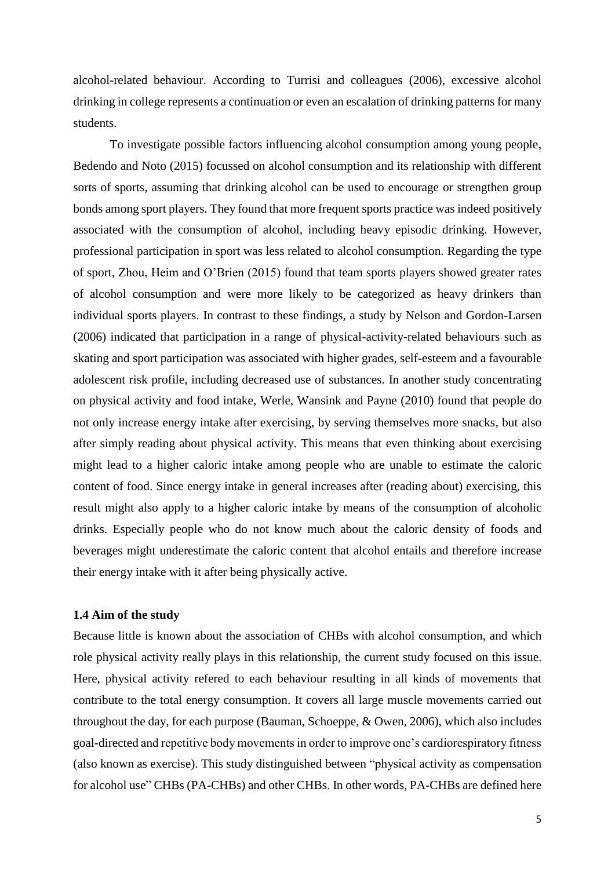alcohol-related behaviour. According to Turrisi and colleagues (2006), excessive alcohol drinking in college represents a continuation or even an escalation of drinking patterns for many students.

To investigate possible factors influencing alcohol consumption among young people, Bedendo and Noto (2015) focussed on alcohol consumption and its relationship with different sorts of sports, assuming that drinking alcohol can be used to encourage or strengthen group bonds among sport players. They found that more frequent sports practice was indeed positively associated with the consumption of alcohol, including heavy episodic drinking. However, professional participation in sport was less related to alcohol consumption. Regarding the type of sport, Zhou, Heim and O'Brien (2015) found that team sports players showed greater rates of alcohol consumption and were more likely to be categorized as heavy drinkers than individual sports players. In contrast to these findings, a study by Nelson and Gordon-Larsen (2006) indicated that participation in a range of physical-activity-related behaviours such as skating and sport participation was associated with higher grades, self-esteem and a favourable adolescent risk profile, including decreased use of substances. In another study concentrating on physical activity and food intake, Werle, Wansink and Payne (2010) found that people do not only increase energy intake after exercising, by serving themselves more snacks, but also after simply reading about physical activity. This means that even thinking about exercising might lead to a higher caloric intake among people who are unable to estimate the caloric content of food. Since energy intake in general increases after (reading about) exercising, this result might also apply to a higher caloric intake by means of the consumption of alcoholic drinks. Especially people who do not know much about the caloric density of foods and beverages might underestimate the caloric content that alcohol entails and therefore increase their energy intake with it after being physically active.

# <span id="page-7-0"></span>**1.4 Aim of the study**

Because little is known about the association of CHBs with alcohol consumption, and which role physical activity really plays in this relationship, the current study focused on this issue. Here, physical activity refered to each behaviour resulting in all kinds of movements that contribute to the total energy consumption. It covers all large muscle movements carried out throughout the day, for each purpose (Bauman, Schoeppe, & Owen, 2006), which also includes goal-directed and repetitive body movements in order to improve one's cardiorespiratory fitness (also known as exercise). This study distinguished between "physical activity as compensation for alcohol use" CHBs (PA-CHBs) and other CHBs. In other words, PA-CHBs are defined here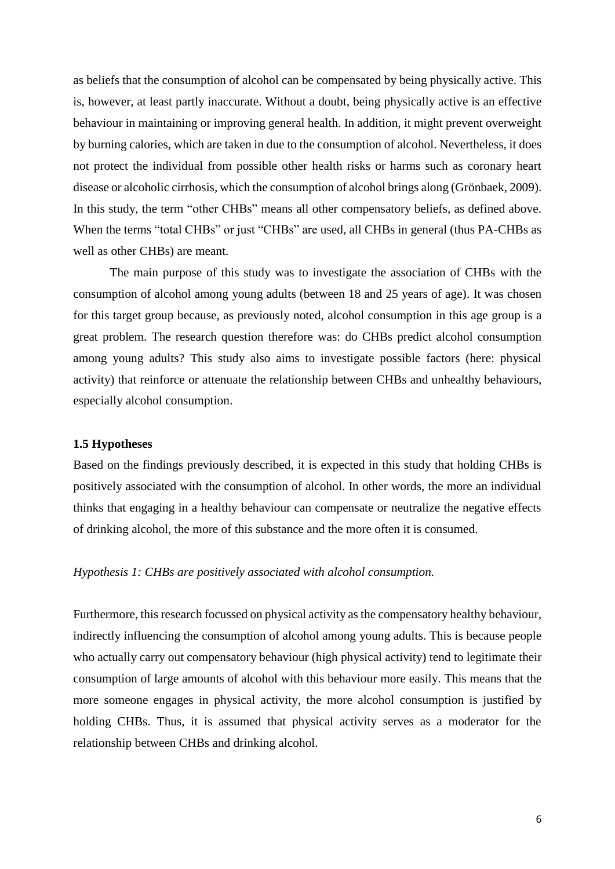as beliefs that the consumption of alcohol can be compensated by being physically active. This is, however, at least partly inaccurate. Without a doubt, being physically active is an effective behaviour in maintaining or improving general health. In addition, it might prevent overweight by burning calories, which are taken in due to the consumption of alcohol. Nevertheless, it does not protect the individual from possible other health risks or harms such as coronary heart disease or alcoholic cirrhosis, which the consumption of alcohol brings along (Grönbaek, 2009). In this study, the term "other CHBs" means all other compensatory beliefs, as defined above. When the terms "total CHBs" or just "CHBs" are used, all CHBs in general (thus PA-CHBs as well as other CHBs) are meant.

The main purpose of this study was to investigate the association of CHBs with the consumption of alcohol among young adults (between 18 and 25 years of age). It was chosen for this target group because, as previously noted, alcohol consumption in this age group is a great problem. The research question therefore was: do CHBs predict alcohol consumption among young adults? This study also aims to investigate possible factors (here: physical activity) that reinforce or attenuate the relationship between CHBs and unhealthy behaviours, especially alcohol consumption.

#### <span id="page-8-0"></span>**1.5 Hypotheses**

Based on the findings previously described, it is expected in this study that holding CHBs is positively associated with the consumption of alcohol. In other words, the more an individual thinks that engaging in a healthy behaviour can compensate or neutralize the negative effects of drinking alcohol, the more of this substance and the more often it is consumed.

#### *Hypothesis 1: CHBs are positively associated with alcohol consumption.*

Furthermore, this research focussed on physical activity as the compensatory healthy behaviour, indirectly influencing the consumption of alcohol among young adults. This is because people who actually carry out compensatory behaviour (high physical activity) tend to legitimate their consumption of large amounts of alcohol with this behaviour more easily. This means that the more someone engages in physical activity, the more alcohol consumption is justified by holding CHBs. Thus, it is assumed that physical activity serves as a moderator for the relationship between CHBs and drinking alcohol.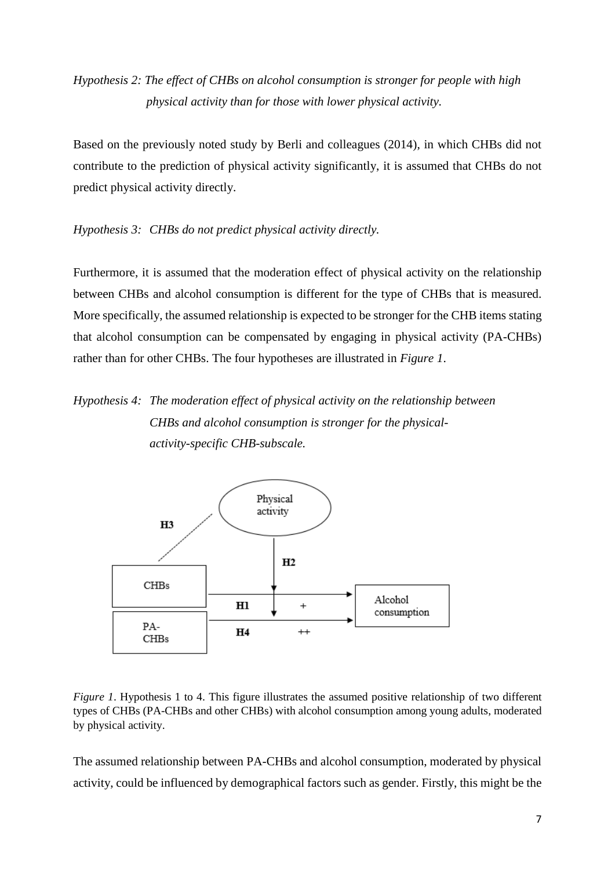# *Hypothesis 2: The effect of CHBs on alcohol consumption is stronger for people with high physical activity than for those with lower physical activity.*

Based on the previously noted study by Berli and colleagues (2014), in which CHBs did not contribute to the prediction of physical activity significantly, it is assumed that CHBs do not predict physical activity directly.

# *Hypothesis 3: CHBs do not predict physical activity directly.*

Furthermore, it is assumed that the moderation effect of physical activity on the relationship between CHBs and alcohol consumption is different for the type of CHBs that is measured. More specifically, the assumed relationship is expected to be stronger for the CHB items stating that alcohol consumption can be compensated by engaging in physical activity (PA-CHBs) rather than for other CHBs. The four hypotheses are illustrated in *Figure 1*.

# *Hypothesis 4: The moderation effect of physical activity on the relationship between CHBs and alcohol consumption is stronger for the physicalactivity-specific CHB-subscale.*



*Figure 1*. Hypothesis 1 to 4. This figure illustrates the assumed positive relationship of two different types of CHBs (PA-CHBs and other CHBs) with alcohol consumption among young adults, moderated by physical activity.

The assumed relationship between PA-CHBs and alcohol consumption, moderated by physical activity, could be influenced by demographical factors such as gender. Firstly, this might be the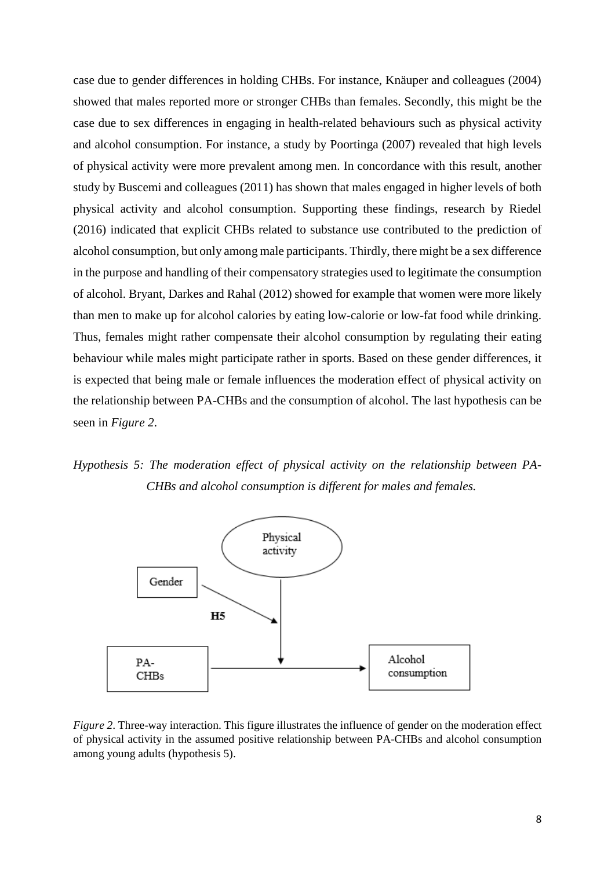case due to gender differences in holding CHBs. For instance, Knäuper and colleagues (2004) showed that males reported more or stronger CHBs than females. Secondly, this might be the case due to sex differences in engaging in health-related behaviours such as physical activity and alcohol consumption. For instance, a study by Poortinga (2007) revealed that high levels of physical activity were more prevalent among men. In concordance with this result, another study by Buscemi and colleagues (2011) has shown that males engaged in higher levels of both physical activity and alcohol consumption. Supporting these findings, research by Riedel (2016) indicated that explicit CHBs related to substance use contributed to the prediction of alcohol consumption, but only among male participants. Thirdly, there might be a sex difference in the purpose and handling of their compensatory strategies used to legitimate the consumption of alcohol. Bryant, Darkes and Rahal (2012) showed for example that women were more likely than men to make up for alcohol calories by eating low-calorie or low-fat food while drinking. Thus, females might rather compensate their alcohol consumption by regulating their eating behaviour while males might participate rather in sports. Based on these gender differences, it is expected that being male or female influences the moderation effect of physical activity on the relationship between PA-CHBs and the consumption of alcohol. The last hypothesis can be seen in *Figure 2*.

*Hypothesis 5: The moderation effect of physical activity on the relationship between PA-CHBs and alcohol consumption is different for males and females.*



*Figure 2*. Three-way interaction. This figure illustrates the influence of gender on the moderation effect of physical activity in the assumed positive relationship between PA-CHBs and alcohol consumption among young adults (hypothesis 5).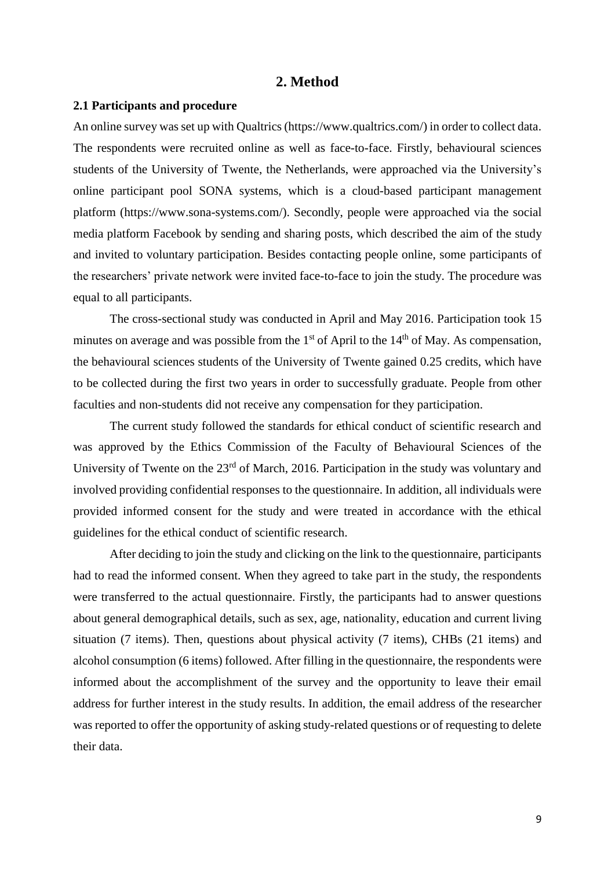## **2. Method**

#### <span id="page-11-1"></span><span id="page-11-0"></span>**2.1 Participants and procedure**

An online survey was set up with Qualtrics (https://www.qualtrics.com/) in order to collect data. The respondents were recruited online as well as face-to-face. Firstly, behavioural sciences students of the University of Twente, the Netherlands, were approached via the University's online participant pool SONA systems, which is a cloud-based participant management platform (https://www.sona-systems.com/). Secondly, people were approached via the social media platform Facebook by sending and sharing posts, which described the aim of the study and invited to voluntary participation. Besides contacting people online, some participants of the researchers' private network were invited face-to-face to join the study. The procedure was equal to all participants.

The cross-sectional study was conducted in April and May 2016. Participation took 15 minutes on average and was possible from the  $1<sup>st</sup>$  of April to the  $14<sup>th</sup>$  of May. As compensation, the behavioural sciences students of the University of Twente gained 0.25 credits, which have to be collected during the first two years in order to successfully graduate. People from other faculties and non-students did not receive any compensation for they participation.

The current study followed the standards for ethical conduct of scientific research and was approved by the Ethics Commission of the Faculty of Behavioural Sciences of the University of Twente on the 23<sup>rd</sup> of March, 2016. Participation in the study was voluntary and involved providing confidential responses to the questionnaire. In addition, all individuals were provided informed consent for the study and were treated in accordance with the ethical guidelines for the ethical conduct of scientific research.

After deciding to join the study and clicking on the link to the questionnaire, participants had to read the informed consent. When they agreed to take part in the study, the respondents were transferred to the actual questionnaire. Firstly, the participants had to answer questions about general demographical details, such as sex, age, nationality, education and current living situation (7 items). Then, questions about physical activity (7 items), CHBs (21 items) and alcohol consumption (6 items) followed. After filling in the questionnaire, the respondents were informed about the accomplishment of the survey and the opportunity to leave their email address for further interest in the study results. In addition, the email address of the researcher was reported to offer the opportunity of asking study-related questions or of requesting to delete their data.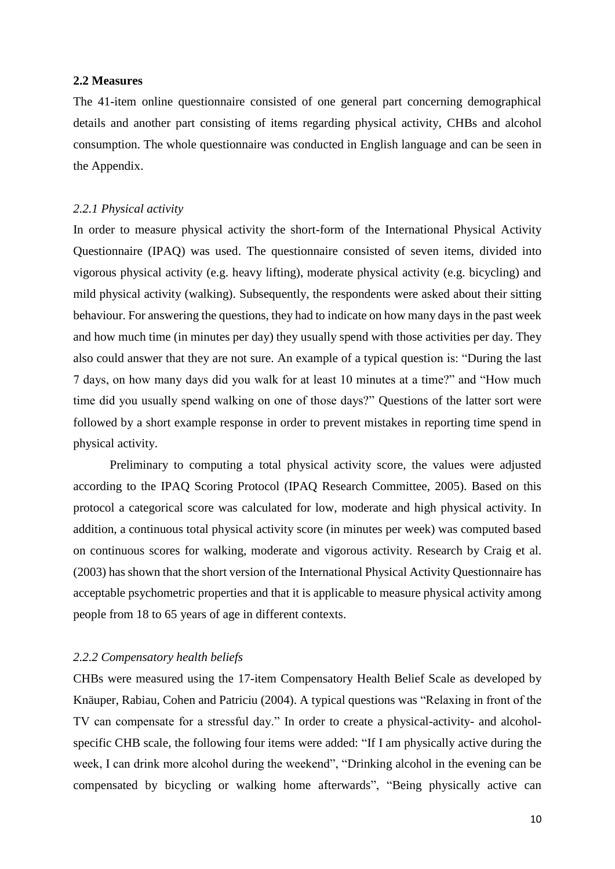#### <span id="page-12-0"></span>**2.2 Measures**

The 41-item online questionnaire consisted of one general part concerning demographical details and another part consisting of items regarding physical activity, CHBs and alcohol consumption. The whole questionnaire was conducted in English language and can be seen in the Appendix.

#### <span id="page-12-1"></span>*2.2.1 Physical activity*

In order to measure physical activity the short-form of the International Physical Activity Questionnaire (IPAQ) was used. The questionnaire consisted of seven items, divided into vigorous physical activity (e.g. heavy lifting), moderate physical activity (e.g. bicycling) and mild physical activity (walking). Subsequently, the respondents were asked about their sitting behaviour. For answering the questions, they had to indicate on how many days in the past week and how much time (in minutes per day) they usually spend with those activities per day. They also could answer that they are not sure. An example of a typical question is: "During the last 7 days, on how many days did you walk for at least 10 minutes at a time?" and "How much time did you usually spend walking on one of those days?" Questions of the latter sort were followed by a short example response in order to prevent mistakes in reporting time spend in physical activity.

Preliminary to computing a total physical activity score, the values were adjusted according to the IPAQ Scoring Protocol (IPAQ Research Committee, 2005). Based on this protocol a categorical score was calculated for low, moderate and high physical activity. In addition, a continuous total physical activity score (in minutes per week) was computed based on continuous scores for walking, moderate and vigorous activity. Research by Craig et al. (2003) has shown that the short version of the International Physical Activity Questionnaire has acceptable psychometric properties and that it is applicable to measure physical activity among people from 18 to 65 years of age in different contexts.

### <span id="page-12-2"></span>*2.2.2 Compensatory health beliefs*

CHBs were measured using the 17-item Compensatory Health Belief Scale as developed by Knäuper, Rabiau, Cohen and Patriciu (2004). A typical questions was "Relaxing in front of the TV can compensate for a stressful day." In order to create a physical-activity- and alcoholspecific CHB scale, the following four items were added: "If I am physically active during the week, I can drink more alcohol during the weekend", "Drinking alcohol in the evening can be compensated by bicycling or walking home afterwards", "Being physically active can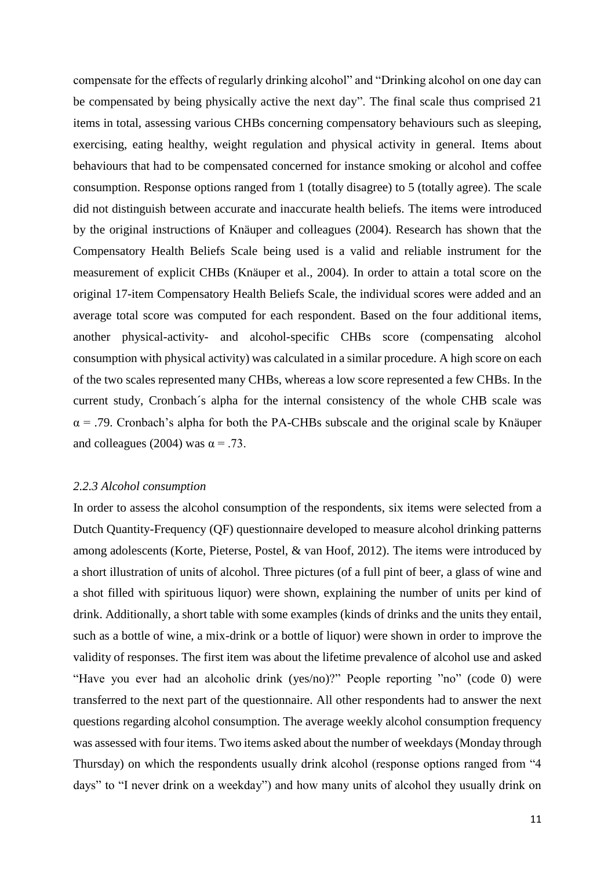compensate for the effects of regularly drinking alcohol" and "Drinking alcohol on one day can be compensated by being physically active the next day". The final scale thus comprised 21 items in total, assessing various CHBs concerning compensatory behaviours such as sleeping, exercising, eating healthy, weight regulation and physical activity in general. Items about behaviours that had to be compensated concerned for instance smoking or alcohol and coffee consumption. Response options ranged from 1 (totally disagree) to 5 (totally agree). The scale did not distinguish between accurate and inaccurate health beliefs. The items were introduced by the original instructions of Knäuper and colleagues (2004). Research has shown that the Compensatory Health Beliefs Scale being used is a valid and reliable instrument for the measurement of explicit CHBs (Knäuper et al., 2004). In order to attain a total score on the original 17-item Compensatory Health Beliefs Scale, the individual scores were added and an average total score was computed for each respondent. Based on the four additional items, another physical-activity- and alcohol-specific CHBs score (compensating alcohol consumption with physical activity) was calculated in a similar procedure. A high score on each of the two scales represented many CHBs, whereas a low score represented a few CHBs. In the current study, Cronbach´s alpha for the internal consistency of the whole CHB scale was  $\alpha$  = .79. Cronbach's alpha for both the PA-CHBs subscale and the original scale by Knäuper and colleagues (2004) was  $\alpha = .73$ .

#### <span id="page-13-0"></span>*2.2.3 Alcohol consumption*

In order to assess the alcohol consumption of the respondents, six items were selected from a Dutch Quantity-Frequency (QF) questionnaire developed to measure alcohol drinking patterns among adolescents (Korte, Pieterse, Postel, & van Hoof, 2012). The items were introduced by a short illustration of units of alcohol. Three pictures (of a full pint of beer, a glass of wine and a shot filled with spirituous liquor) were shown, explaining the number of units per kind of drink. Additionally, a short table with some examples (kinds of drinks and the units they entail, such as a bottle of wine, a mix-drink or a bottle of liquor) were shown in order to improve the validity of responses. The first item was about the lifetime prevalence of alcohol use and asked "Have you ever had an alcoholic drink (yes/no)?" People reporting "no" (code 0) were transferred to the next part of the questionnaire. All other respondents had to answer the next questions regarding alcohol consumption. The average weekly alcohol consumption frequency was assessed with four items. Two items asked about the number of weekdays (Monday through Thursday) on which the respondents usually drink alcohol (response options ranged from "4 days" to "I never drink on a weekday") and how many units of alcohol they usually drink on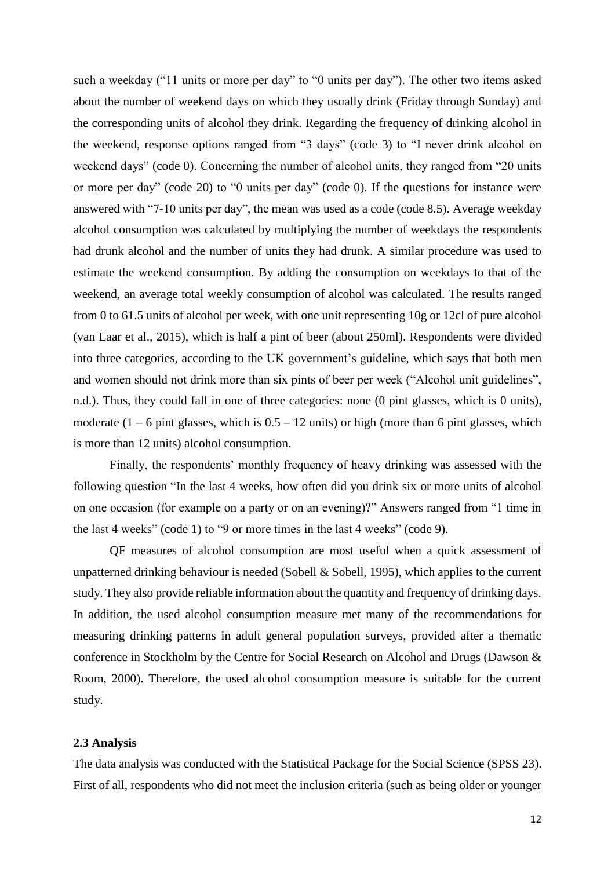such a weekday ("11 units or more per day" to "0 units per day"). The other two items asked about the number of weekend days on which they usually drink (Friday through Sunday) and the corresponding units of alcohol they drink. Regarding the frequency of drinking alcohol in the weekend, response options ranged from "3 days" (code 3) to "I never drink alcohol on weekend days" (code 0). Concerning the number of alcohol units, they ranged from "20 units or more per day" (code 20) to "0 units per day" (code 0). If the questions for instance were answered with "7-10 units per day", the mean was used as a code (code 8.5). Average weekday alcohol consumption was calculated by multiplying the number of weekdays the respondents had drunk alcohol and the number of units they had drunk. A similar procedure was used to estimate the weekend consumption. By adding the consumption on weekdays to that of the weekend, an average total weekly consumption of alcohol was calculated. The results ranged from 0 to 61.5 units of alcohol per week, with one unit representing 10g or 12cl of pure alcohol (van Laar et al., 2015), which is half a pint of beer (about 250ml). Respondents were divided into three categories, according to the UK government's guideline, which says that both men and women should not drink more than six pints of beer per week ("Alcohol unit guidelines", n.d.). Thus, they could fall in one of three categories: none (0 pint glasses, which is 0 units), moderate  $(1 - 6$  pint glasses, which is  $0.5 - 12$  units) or high (more than 6 pint glasses, which is more than 12 units) alcohol consumption.

Finally, the respondents' monthly frequency of heavy drinking was assessed with the following question "In the last 4 weeks, how often did you drink six or more units of alcohol on one occasion (for example on a party or on an evening)?" Answers ranged from "1 time in the last 4 weeks" (code 1) to "9 or more times in the last 4 weeks" (code 9).

QF measures of alcohol consumption are most useful when a quick assessment of unpatterned drinking behaviour is needed (Sobell  $&$  Sobell, 1995), which applies to the current study. They also provide reliable information about the quantity and frequency of drinking days. In addition, the used alcohol consumption measure met many of the recommendations for measuring drinking patterns in adult general population surveys, provided after a thematic conference in Stockholm by the Centre for Social Research on Alcohol and Drugs (Dawson & Room, 2000). Therefore, the used alcohol consumption measure is suitable for the current study.

#### <span id="page-14-0"></span>**2.3 Analysis**

The data analysis was conducted with the Statistical Package for the Social Science (SPSS 23). First of all, respondents who did not meet the inclusion criteria (such as being older or younger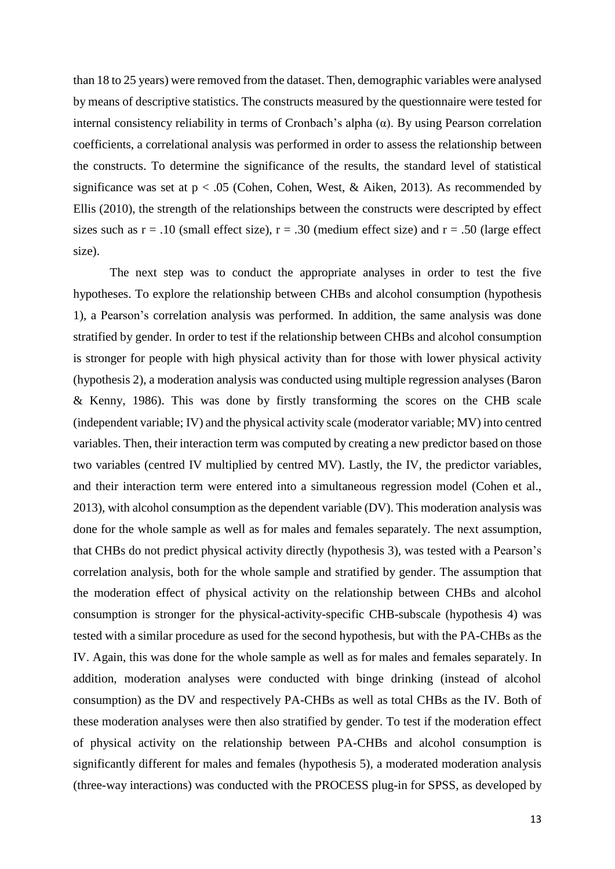than 18 to 25 years) were removed from the dataset. Then, demographic variables were analysed by means of descriptive statistics. The constructs measured by the questionnaire were tested for internal consistency reliability in terms of Cronbach's alpha (α). By using Pearson correlation coefficients, a correlational analysis was performed in order to assess the relationship between the constructs. To determine the significance of the results, the standard level of statistical significance was set at  $p < .05$  (Cohen, Cohen, West, & Aiken, 2013). As recommended by Ellis (2010), the strength of the relationships between the constructs were descripted by effect sizes such as  $r = .10$  (small effect size),  $r = .30$  (medium effect size) and  $r = .50$  (large effect size).

The next step was to conduct the appropriate analyses in order to test the five hypotheses. To explore the relationship between CHBs and alcohol consumption (hypothesis 1), a Pearson's correlation analysis was performed. In addition, the same analysis was done stratified by gender. In order to test if the relationship between CHBs and alcohol consumption is stronger for people with high physical activity than for those with lower physical activity (hypothesis 2), a moderation analysis was conducted using multiple regression analyses (Baron & Kenny, 1986). This was done by firstly transforming the scores on the CHB scale (independent variable; IV) and the physical activity scale (moderator variable; MV) into centred variables. Then, their interaction term was computed by creating a new predictor based on those two variables (centred IV multiplied by centred MV). Lastly, the IV, the predictor variables, and their interaction term were entered into a simultaneous regression model (Cohen et al., 2013), with alcohol consumption as the dependent variable (DV). This moderation analysis was done for the whole sample as well as for males and females separately. The next assumption, that CHBs do not predict physical activity directly (hypothesis 3), was tested with a Pearson's correlation analysis, both for the whole sample and stratified by gender. The assumption that the moderation effect of physical activity on the relationship between CHBs and alcohol consumption is stronger for the physical-activity-specific CHB-subscale (hypothesis 4) was tested with a similar procedure as used for the second hypothesis, but with the PA-CHBs as the IV. Again, this was done for the whole sample as well as for males and females separately. In addition, moderation analyses were conducted with binge drinking (instead of alcohol consumption) as the DV and respectively PA-CHBs as well as total CHBs as the IV. Both of these moderation analyses were then also stratified by gender. To test if the moderation effect of physical activity on the relationship between PA-CHBs and alcohol consumption is significantly different for males and females (hypothesis 5), a moderated moderation analysis (three-way interactions) was conducted with the PROCESS plug-in for SPSS, as developed by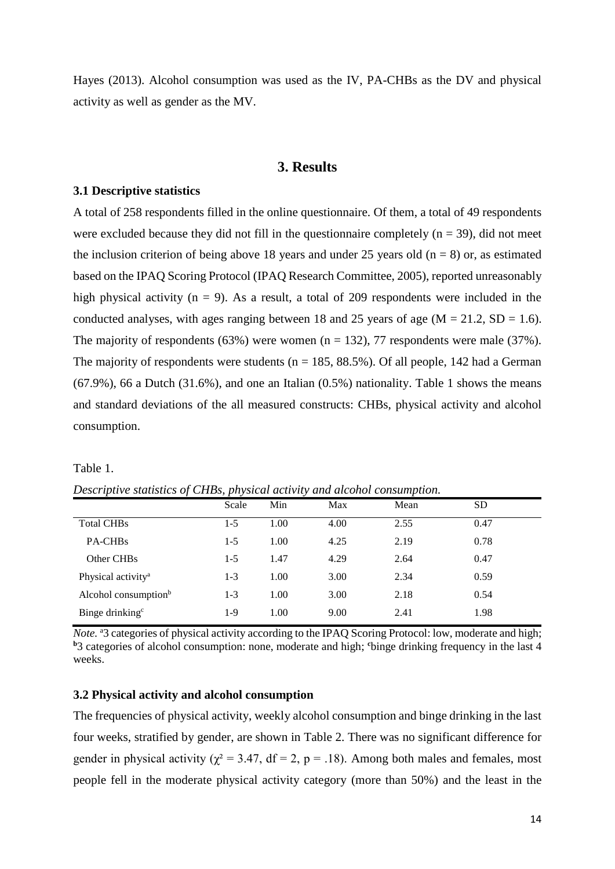Hayes (2013). Alcohol consumption was used as the IV, PA-CHBs as the DV and physical activity as well as gender as the MV.

# **3. Results**

#### <span id="page-16-1"></span><span id="page-16-0"></span>**3.1 Descriptive statistics**

A total of 258 respondents filled in the online questionnaire. Of them, a total of 49 respondents were excluded because they did not fill in the questionnaire completely  $(n = 39)$ , did not meet the inclusion criterion of being above 18 years and under 25 years old ( $n = 8$ ) or, as estimated based on the IPAQ Scoring Protocol (IPAQ Research Committee, 2005), reported unreasonably high physical activity ( $n = 9$ ). As a result, a total of 209 respondents were included in the conducted analyses, with ages ranging between 18 and 25 years of age ( $M = 21.2$ ,  $SD = 1.6$ ). The majority of respondents (63%) were women ( $n = 132$ ), 77 respondents were male (37%). The majority of respondents were students ( $n = 185, 88.5\%$ ). Of all people, 142 had a German (67.9%), 66 a Dutch (31.6%), and one an Italian (0.5%) nationality. Table 1 shows the means and standard deviations of the all measured constructs: CHBs, physical activity and alcohol consumption.

Table 1.

|                                  | Scale | Min  | Max  | Mean | SD.  |  |
|----------------------------------|-------|------|------|------|------|--|
| <b>Total CHBs</b>                | 1-5   | 1.00 | 4.00 | 2.55 | 0.47 |  |
| PA-CHB <sub>s</sub>              | $1-5$ | 1.00 | 4.25 | 2.19 | 0.78 |  |
| Other CHBs                       | $1-5$ | 1.47 | 4.29 | 2.64 | 0.47 |  |
| Physical activity <sup>a</sup>   | $1-3$ | 1.00 | 3.00 | 2.34 | 0.59 |  |
| Alcohol consumption <sup>b</sup> | $1-3$ | 1.00 | 3.00 | 2.18 | 0.54 |  |
| Binge drinking <sup>c</sup>      | $1-9$ | 1.00 | 9.00 | 2.41 | 1.98 |  |

*Descriptive statistics of CHBs, physical activity and alcohol consumption.*

*Note.* <sup>a</sup>3 categories of physical activity according to the IPAQ Scoring Protocol: low, moderate and high; **<sup>b</sup>**3 categories of alcohol consumption: none, moderate and high; **<sup>c</sup>**binge drinking frequency in the last 4 weeks.

#### <span id="page-16-2"></span>**3.2 Physical activity and alcohol consumption**

The frequencies of physical activity, weekly alcohol consumption and binge drinking in the last four weeks, stratified by gender, are shown in Table 2. There was no significant difference for gender in physical activity ( $\chi^2$  = 3.47, df = 2, p = .18). Among both males and females, most people fell in the moderate physical activity category (more than 50%) and the least in the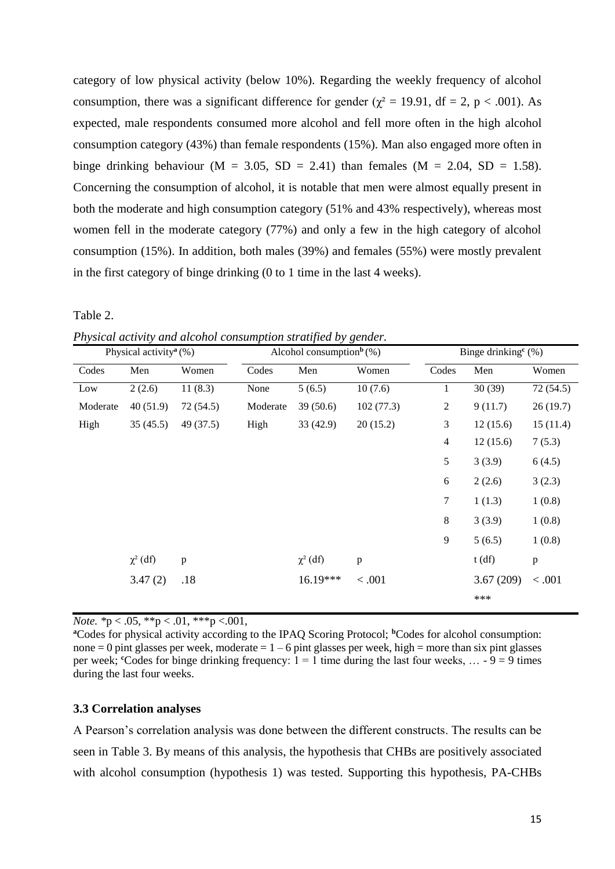category of low physical activity (below 10%). Regarding the weekly frequency of alcohol consumption, there was a significant difference for gender ( $\chi^2 = 19.91$ , df = 2, p < .001). As expected, male respondents consumed more alcohol and fell more often in the high alcohol consumption category (43%) than female respondents (15%). Man also engaged more often in binge drinking behaviour (M = 3.05, SD = 2.41) than females (M = 2.04, SD = 1.58). Concerning the consumption of alcohol, it is notable that men were almost equally present in both the moderate and high consumption category (51% and 43% respectively), whereas most women fell in the moderate category (77%) and only a few in the high category of alcohol consumption (15%). In addition, both males (39%) and females (55%) were mostly prevalent in the first category of binge drinking (0 to 1 time in the last 4 weeks).

Table 2.

*Physical activity and alcohol consumption stratified by gender.*

|          | Physical activity <sup>a</sup> $(\%)$ |              |          | Alcohol consumption <sup>b</sup> $(\%)$ |              | Binge drinking <sup>c</sup> $(\%)$ |           |              |  |  |
|----------|---------------------------------------|--------------|----------|-----------------------------------------|--------------|------------------------------------|-----------|--------------|--|--|
| Codes    | Men                                   | Women        | Codes    | Men                                     | Women        | Codes                              | Men       | Women        |  |  |
| Low      | 2(2.6)                                | 11(8.3)      | None     | 5(6.5)                                  | 10(7.6)      | 1                                  | 30(39)    | 72 (54.5)    |  |  |
| Moderate | 40(51.9)                              | 72 (54.5)    | Moderate | 39(50.6)                                | 102(77.3)    | $\overline{c}$                     | 9(11.7)   | 26(19.7)     |  |  |
| High     | 35(45.5)                              | 49 (37.5)    | High     | 33(42.9)                                | 20(15.2)     | 3                                  | 12(15.6)  | 15(11.4)     |  |  |
|          |                                       |              |          |                                         |              | $\overline{4}$                     | 12(15.6)  | 7(5.3)       |  |  |
|          |                                       |              |          |                                         |              | 5                                  | 3(3.9)    | 6(4.5)       |  |  |
|          |                                       |              |          |                                         |              | 6                                  | 2(2.6)    | 3(2.3)       |  |  |
|          |                                       |              |          |                                         |              | 7                                  | 1(1.3)    | 1(0.8)       |  |  |
|          |                                       |              |          |                                         |              | 8                                  | 3(3.9)    | 1(0.8)       |  |  |
|          |                                       |              |          |                                         |              | 9                                  | 5(6.5)    | 1(0.8)       |  |  |
|          | $\chi^2$ (df)                         | $\mathbf{p}$ |          | $\chi^2$ (df)                           | $\, {\bf p}$ |                                    | t(df)     | $\, {\bf p}$ |  |  |
|          | 3.47(2)                               | .18          |          | 16.19***                                | < .001       |                                    | 3.67(209) | < .001       |  |  |
|          |                                       |              |          |                                         |              |                                    | ***       |              |  |  |

*Note.* \*p < .05, \*\*p < .01, \*\*\*p < .001,

**<sup>a</sup>**Codes for physical activity according to the IPAQ Scoring Protocol; **<sup>b</sup>**Codes for alcohol consumption: none  $= 0$  pint glasses per week, moderate  $= 1 - 6$  pint glasses per week, high  $=$  more than six pint glasses per week; <sup>c</sup>Codes for binge drinking frequency:  $1 = 1$  time during the last four weeks, ... -  $9 = 9$  times during the last four weeks.

#### <span id="page-17-0"></span>**3.3 Correlation analyses**

A Pearson's correlation analysis was done between the different constructs. The results can be seen in Table 3. By means of this analysis, the hypothesis that CHBs are positively associated with alcohol consumption (hypothesis 1) was tested. Supporting this hypothesis, PA-CHBs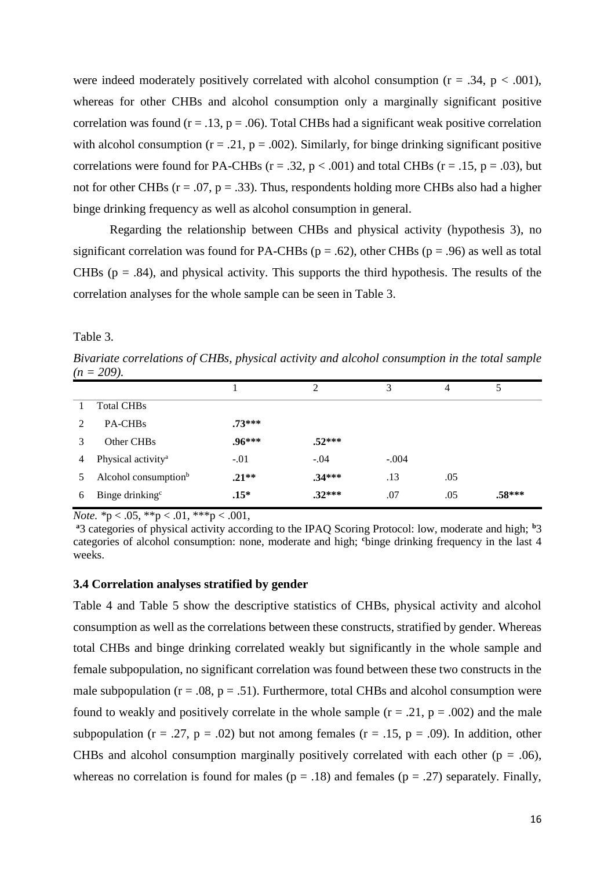were indeed moderately positively correlated with alcohol consumption ( $r = .34$ ,  $p < .001$ ), whereas for other CHBs and alcohol consumption only a marginally significant positive correlation was found ( $r = .13$ ,  $p = .06$ ). Total CHBs had a significant weak positive correlation with alcohol consumption ( $r = .21$ ,  $p = .002$ ). Similarly, for binge drinking significant positive correlations were found for PA-CHBs ( $r = .32$ ,  $p < .001$ ) and total CHBs ( $r = .15$ ,  $p = .03$ ), but not for other CHBs ( $r = .07$ ,  $p = .33$ ). Thus, respondents holding more CHBs also had a higher binge drinking frequency as well as alcohol consumption in general.

Regarding the relationship between CHBs and physical activity (hypothesis 3), no significant correlation was found for PA-CHBs ( $p = .62$ ), other CHBs ( $p = .96$ ) as well as total CHBs ( $p = .84$ ), and physical activity. This supports the third hypothesis. The results of the correlation analyses for the whole sample can be seen in Table 3.

Table 3.

*Bivariate correlations of CHBs, physical activity and alcohol consumption in the total sample*  $(n = 209)$ .

|                             |                                  |          | ↑        | 3       | 4   | 5      |
|-----------------------------|----------------------------------|----------|----------|---------|-----|--------|
|                             | <b>Total CHBs</b>                |          |          |         |     |        |
| $\mathcal{D}_{\mathcal{A}}$ | PA-CHB <sub>s</sub>              | $.73***$ |          |         |     |        |
|                             | Other CHB <sub>s</sub>           | $.96***$ | $.52***$ |         |     |        |
| 4                           | Physical activity <sup>a</sup>   | $-.01$   | $-.04$   | $-.004$ |     |        |
|                             | Alcohol consumption <sup>b</sup> | $.21**$  | $.34***$ | .13     | .05 |        |
| 6                           | Binge drinking <sup>c</sup>      | $.15*$   | $.32***$ | .07     | .05 | .58*** |

*Note.* \*p < .05, \*\*p < .01, \*\*\*p < .001,

<sup>a</sup>3 categories of physical activity according to the IPAO Scoring Protocol: low, moderate and high; <sup>b</sup>3 categories of alcohol consumption: none, moderate and high; **<sup>c</sup>**binge drinking frequency in the last 4 weeks.

# <span id="page-18-0"></span>**3.4 Correlation analyses stratified by gender**

Table 4 and Table 5 show the descriptive statistics of CHBs, physical activity and alcohol consumption as well as the correlations between these constructs, stratified by gender. Whereas total CHBs and binge drinking correlated weakly but significantly in the whole sample and female subpopulation, no significant correlation was found between these two constructs in the male subpopulation ( $r = .08$ ,  $p = .51$ ). Furthermore, total CHBs and alcohol consumption were found to weakly and positively correlate in the whole sample  $(r = .21, p = .002)$  and the male subpopulation ( $r = .27$ ,  $p = .02$ ) but not among females ( $r = .15$ ,  $p = .09$ ). In addition, other CHBs and alcohol consumption marginally positively correlated with each other ( $p = .06$ ), whereas no correlation is found for males ( $p = .18$ ) and females ( $p = .27$ ) separately. Finally,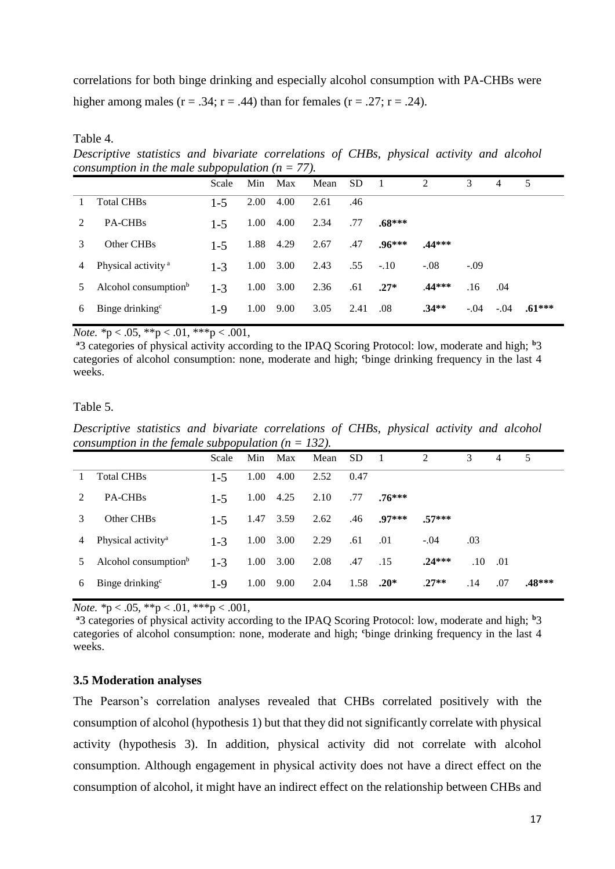correlations for both binge drinking and especially alcohol consumption with PA-CHBs were higher among males  $(r = .34; r = .44)$  than for females  $(r = .27; r = .24)$ .

Table 4.

*Descriptive statistics and bivariate correlations of CHBs, physical activity and alcohol consumption in the male subpopulation*  $(n = 77)$ .

|   |                                  | Scale   | Min  | Max  | Mean | <b>SD</b> |          | 2        | 3      | 4      | 5        |
|---|----------------------------------|---------|------|------|------|-----------|----------|----------|--------|--------|----------|
|   | <b>Total CHBs</b>                | $1 - 5$ | 2.00 | 4.00 | 2.61 | .46       |          |          |        |        |          |
| 2 | PA-CHB <sub>s</sub>              | $1 - 5$ | 1.00 | 4.00 | 2.34 | .77       | $.68***$ |          |        |        |          |
| 3 | Other CHBs                       | $1 - 5$ | 1.88 | 4.29 | 2.67 | .47       | $.96***$ | $.44***$ |        |        |          |
| 4 | Physical activity <sup>a</sup>   | $1 - 3$ | 1.00 | 3.00 | 2.43 | .55       | $-.10$   | $-.08$   | $-.09$ |        |          |
| 5 | Alcohol consumption <sup>b</sup> | $1 - 3$ | 1.00 | 3.00 | 2.36 | .61       | $.27*$   | .44***   | .16    | .04    |          |
| 6 | Binge drinking <sup>c</sup>      | $1-9$   | 1.00 | 9.00 | 3.05 | 2.41      | .08      | $.34**$  | $-.04$ | $-.04$ | $.61***$ |

*Note.* \*p < .05, \*\*p < .01, \*\*\*p < .001,

<sup>a</sup>3 categories of physical activity according to the IPAO Scoring Protocol: low, moderate and high; <sup>b</sup>3 categories of alcohol consumption: none, moderate and high; **<sup>c</sup>**binge drinking frequency in the last 4 weeks.

# Table 5.

*Descriptive statistics and bivariate correlations of CHBs, physical activity and alcohol consumption in the female subpopulation*  $(n = 132)$ .

|   |                                  | Scale   |      | Min Max | Mean | SD.  |             | 2        | 3       | 4   | 5        |
|---|----------------------------------|---------|------|---------|------|------|-------------|----------|---------|-----|----------|
|   | <b>Total CHBs</b>                | $1 - 5$ | 1.00 | 4.00    | 2.52 | 0.47 |             |          |         |     |          |
| 2 | PA-CHB <sub>s</sub>              | $1 - 5$ | 1.00 | 4.25    | 2.10 | .77  | $.76***$    |          |         |     |          |
| 3 | Other CHBs                       | $1 - 5$ | 1.47 | 3.59    | 2.62 | .46  | $.97***$    | $57***$  |         |     |          |
| 4 | Physical activity <sup>a</sup>   | $1 - 3$ | 1.00 | 3.00    | 2.29 | .61  | .01         | $-.04$   | .03     |     |          |
| 5 | Alcohol consumption <sup>b</sup> | $1 - 3$ | 1.00 | 3.00    | 2.08 | .47  | .15         | $.24***$ | $.10\,$ | .01 |          |
| 6 | Binge drinking <sup>c</sup>      | $1-9$   | 1.00 | 9.00    | 2.04 |      | 1.58 $.20*$ | $.27**$  | .14     | .07 | $.48***$ |
|   |                                  |         |      |         |      |      |             |          |         |     |          |

*Note.* \*p < .05, \*\*p < .01, \*\*\*p < .001,

<sup>a</sup>3 categories of physical activity according to the IPAO Scoring Protocol: low, moderate and high; <sup>b</sup>3 categories of alcohol consumption: none, moderate and high; **<sup>c</sup>**binge drinking frequency in the last 4 weeks.

# <span id="page-19-0"></span>**3.5 Moderation analyses**

The Pearson's correlation analyses revealed that CHBs correlated positively with the consumption of alcohol (hypothesis 1) but that they did not significantly correlate with physical activity (hypothesis 3). In addition, physical activity did not correlate with alcohol consumption. Although engagement in physical activity does not have a direct effect on the consumption of alcohol, it might have an indirect effect on the relationship between CHBs and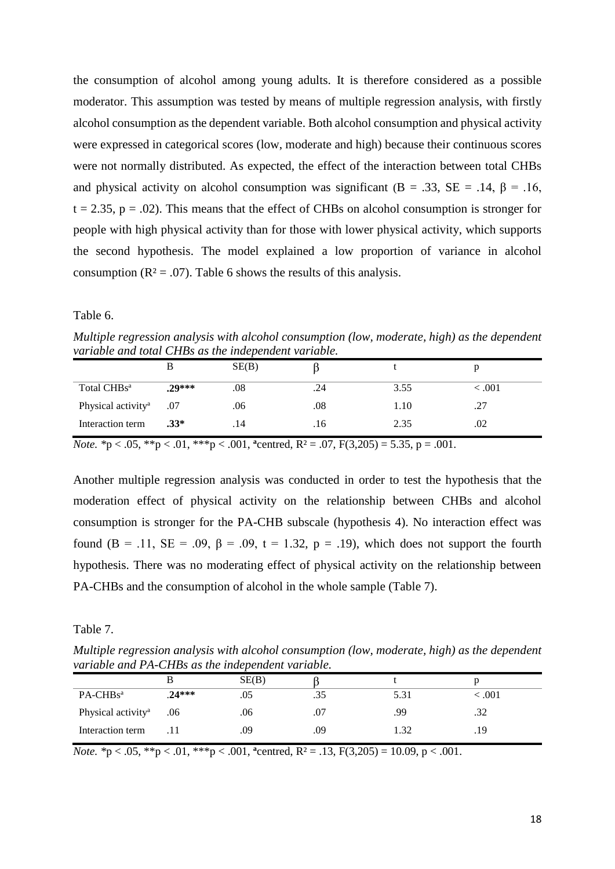the consumption of alcohol among young adults. It is therefore considered as a possible moderator. This assumption was tested by means of multiple regression analysis, with firstly alcohol consumption as the dependent variable. Both alcohol consumption and physical activity were expressed in categorical scores (low, moderate and high) because their continuous scores were not normally distributed. As expected, the effect of the interaction between total CHBs and physical activity on alcohol consumption was significant ( $B = .33$ ,  $SE = .14$ ,  $\beta = .16$ ,  $t = 2.35$ ,  $p = .02$ ). This means that the effect of CHBs on alcohol consumption is stronger for people with high physical activity than for those with lower physical activity, which supports the second hypothesis. The model explained a low proportion of variance in alcohol consumption ( $\mathbb{R}^2$  = .07). Table 6 shows the results of this analysis.

#### Table 6.

*Multiple regression analysis with alcohol consumption (low, moderate, high) as the dependent variable and total CHBs as the independent variable.*

|                                | B        | SE(B) |     |      |       |
|--------------------------------|----------|-------|-----|------|-------|
| Total CHBs <sup>a</sup>        | $.29***$ | .08   | .24 | 3.55 | <.001 |
| Physical activity <sup>a</sup> | .07      | .06   | .08 | 1.10 | .27   |
| Interaction term               | $.33*$   | .14   | .16 | 2.35 | .02   |

*Note.* \*p < .05, \*\*p < .01, \*\*\*p < .001, <sup>a</sup>centred,  $R^2 = .07$ ,  $F(3,205) = 5.35$ ,  $p = .001$ .

Another multiple regression analysis was conducted in order to test the hypothesis that the moderation effect of physical activity on the relationship between CHBs and alcohol consumption is stronger for the PA-CHB subscale (hypothesis 4). No interaction effect was found (B = .11, SE = .09,  $\beta$  = .09, t = 1.32, p = .19), which does not support the fourth hypothesis. There was no moderating effect of physical activity on the relationship between PA-CHBs and the consumption of alcohol in the whole sample (Table 7).

Table 7.

*Multiple regression analysis with alcohol consumption (low, moderate, high) as the dependent variable and PA-CHBs as the independent variable.*

|                                |         | SE(B) |     |      |       |
|--------------------------------|---------|-------|-----|------|-------|
| PA-CHBs <sup>a</sup>           | $24***$ | .05   | .35 | 5.31 | <.001 |
| Physical activity <sup>a</sup> | .06     | .06   | .07 | .99  | .32   |
| Interaction term               |         | .09   | .09 | 1.32 | .19   |

*Note. \**p < .05, \*\*p < .01, \*\*\*p < .001, **<sup>a</sup>** centred, R² = .13, F(3,205) = 10.09, p < .001.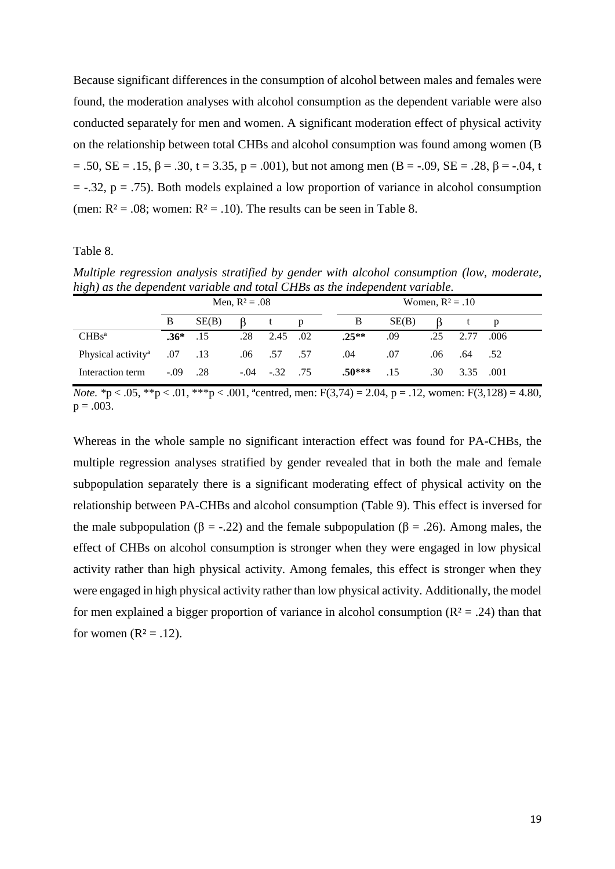Because significant differences in the consumption of alcohol between males and females were found, the moderation analyses with alcohol consumption as the dependent variable were also conducted separately for men and women. A significant moderation effect of physical activity on the relationship between total CHBs and alcohol consumption was found among women (B  $= .50$ ,  $SE = .15$ ,  $\beta = .30$ ,  $t = 3.35$ ,  $p = .001$ ), but not among men (B = -.09,  $SE = .28$ ,  $\beta = -.04$ , t  $=$  -.32, p = .75). Both models explained a low proportion of variance in alcohol consumption (men:  $R^2 = .08$ ; women:  $R^2 = .10$ ). The results can be seen in Table 8.

#### Table 8.

*Multiple regression analysis stratified by gender with alcohol consumption (low, moderate, high) as the dependent variable and total CHBs as the independent variable.*

|                                |        | Men, $R^2 = .08$ |     |               |   |  |          | Women, $R^2 = .10$ |     |      |      |  |  |
|--------------------------------|--------|------------------|-----|---------------|---|--|----------|--------------------|-----|------|------|--|--|
|                                | B      | SE(B)            |     |               | D |  | B        | SE(B)              |     |      | p    |  |  |
| CHBs <sup>a</sup>              | $.36*$ | .15              | .28 | 2.45 .02      |   |  | $.25**$  | .09                | .25 | 2.77 | .006 |  |  |
| Physical activity <sup>a</sup> | .07    | .13              |     | $.06$ .57 .57 |   |  | .04      | .07                | .06 | .64  | .52  |  |  |
| Interaction term               | $-.09$ | .28              |     | $-.04-.32.75$ |   |  | $.50***$ | .15                | .30 | 3.35 | .001 |  |  |

*Note. \**p < .05, \*\*p < .01, \*\*\*p < .001, **<sup>a</sup>** centred, men: F(3,74) = 2.04, p = .12, women: F(3,128) = 4.80,  $p = .003$ .

Whereas in the whole sample no significant interaction effect was found for PA-CHBs, the multiple regression analyses stratified by gender revealed that in both the male and female subpopulation separately there is a significant moderating effect of physical activity on the relationship between PA-CHBs and alcohol consumption (Table 9). This effect is inversed for the male subpopulation ( $\beta = -.22$ ) and the female subpopulation ( $\beta = .26$ ). Among males, the effect of CHBs on alcohol consumption is stronger when they were engaged in low physical activity rather than high physical activity. Among females, this effect is stronger when they were engaged in high physical activity rather than low physical activity. Additionally, the model for men explained a bigger proportion of variance in alcohol consumption  $(R^2 = .24)$  than that for women  $(R^2 = .12)$ .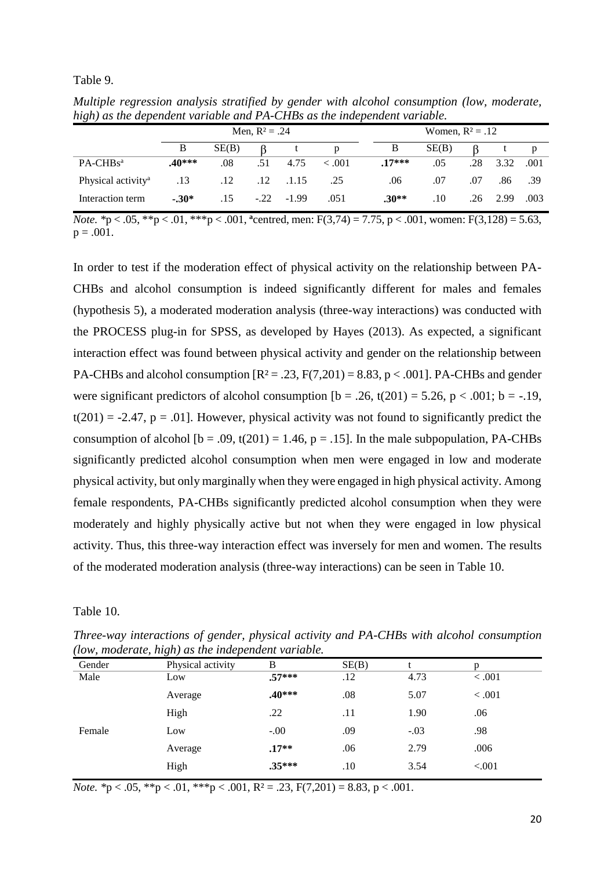#### Table 9.

| <i><u><b>Theory as the aepenaeur variable and I II CIIDs as the thaepenaeur variable.</b></u></i> |         |                  |                    |                   |         |  |          |       |     |      |      |
|---------------------------------------------------------------------------------------------------|---------|------------------|--------------------|-------------------|---------|--|----------|-------|-----|------|------|
|                                                                                                   |         | Men, $R^2 = .24$ | Women, $R^2 = .12$ |                   |         |  |          |       |     |      |      |
|                                                                                                   | B       | SE(B)            |                    |                   | p       |  | B        | SE(B) |     |      |      |
| $PA-CHBsa$                                                                                        | $40***$ | .08              | .51                | 4.75              | < 0.001 |  | $.17***$ | .05   | .28 | 3.32 | .001 |
| Physical activity <sup>a</sup>                                                                    | .13     | .12              |                    | $.12 \quad .1.15$ | .25     |  | .06      | .07   | .07 | .86  | - 39 |
| Interaction term                                                                                  | $-30*$  | .15              |                    | $-0.22 - 1.99$    | .051    |  | $.30**$  | .10   | .26 | 2.99 | .003 |

*Multiple regression analysis stratified by gender with alcohol consumption (low, moderate, high) as the dependent variable and PA-CHBs as the independent variable.*

*Note. \**p < .05, \*\*p < .01, \*\*\*p < .001, **<sup>a</sup>** centred, men: F(3,74) = 7.75, p < .001, women: F(3,128) = 5.63,  $p = .001$ .

In order to test if the moderation effect of physical activity on the relationship between PA-CHBs and alcohol consumption is indeed significantly different for males and females (hypothesis 5), a moderated moderation analysis (three-way interactions) was conducted with the PROCESS plug-in for SPSS, as developed by Hayes (2013). As expected, a significant interaction effect was found between physical activity and gender on the relationship between PA-CHBs and alcohol consumption  $[R^2 = .23, F(7,201) = 8.83, p < .001]$ . PA-CHBs and gender were significant predictors of alcohol consumption  $[b = .26, t(201) = 5.26, p < .001; b = -.19,$  $t(201) = -2.47$ ,  $p = .01$ . However, physical activity was not found to significantly predict the consumption of alcohol  $[b = .09, t(201) = 1.46, p = .15]$ . In the male subpopulation, PA-CHBs significantly predicted alcohol consumption when men were engaged in low and moderate physical activity, but only marginally when they were engaged in high physical activity. Among female respondents, PA-CHBs significantly predicted alcohol consumption when they were moderately and highly physically active but not when they were engaged in low physical activity. Thus, this three-way interaction effect was inversely for men and women. The results of the moderated moderation analysis (three-way interactions) can be seen in Table 10.

Table 10.

*Three-way interactions of gender, physical activity and PA-CHBs with alcohol consumption (low, moderate, high) as the independent variable.*

| Gender | $\circ$ $\cdot$<br>Physical activity | B        | SE(B) |        |        |
|--------|--------------------------------------|----------|-------|--------|--------|
| Male   | Low                                  | $.57***$ | .12   | 4.73   | < .001 |
|        | Average                              | $.40***$ | .08   | 5.07   | < .001 |
|        | High                                 | .22      | .11   | 1.90   | .06    |
| Female | Low                                  | $-.00$   | .09   | $-.03$ | .98    |
|        | Average                              | $.17**$  | .06   | 2.79   | .006   |
|        | High                                 | $.35***$ | .10   | 3.54   | < .001 |

*Note.* \*p < .05, \*\*p < .01, \*\*\*p < .001,  $R^2 = .23$ ,  $F(7,201) = 8.83$ , p < .001.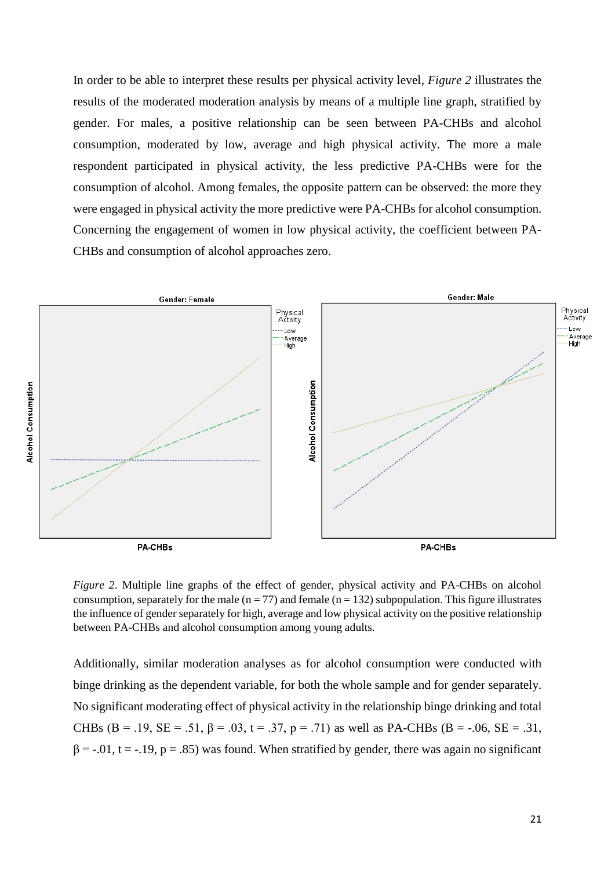In order to be able to interpret these results per physical activity level, *Figure 2* illustrates the results of the moderated moderation analysis by means of a multiple line graph, stratified by gender. For males, a positive relationship can be seen between PA-CHBs and alcohol consumption, moderated by low, average and high physical activity. The more a male respondent participated in physical activity, the less predictive PA-CHBs were for the consumption of alcohol. Among females, the opposite pattern can be observed: the more they were engaged in physical activity the more predictive were PA-CHBs for alcohol consumption. Concerning the engagement of women in low physical activity, the coefficient between PA-CHBs and consumption of alcohol approaches zero.



*Figure 2*. Multiple line graphs of the effect of gender, physical activity and PA-CHBs on alcohol consumption, separately for the male ( $n = 77$ ) and female ( $n = 132$ ) subpopulation. This figure illustrates the influence of gender separately for high, average and low physical activity on the positive relationship between PA-CHBs and alcohol consumption among young adults.

Additionally, similar moderation analyses as for alcohol consumption were conducted with binge drinking as the dependent variable, for both the whole sample and for gender separately. No significant moderating effect of physical activity in the relationship binge drinking and total CHBs (B = .19, SE = .51,  $\beta$  = .03, t = .37, p = .71) as well as PA-CHBs (B = -.06, SE = .31,  $\beta$  = -.01, t = -.19, p = .85) was found. When stratified by gender, there was again no significant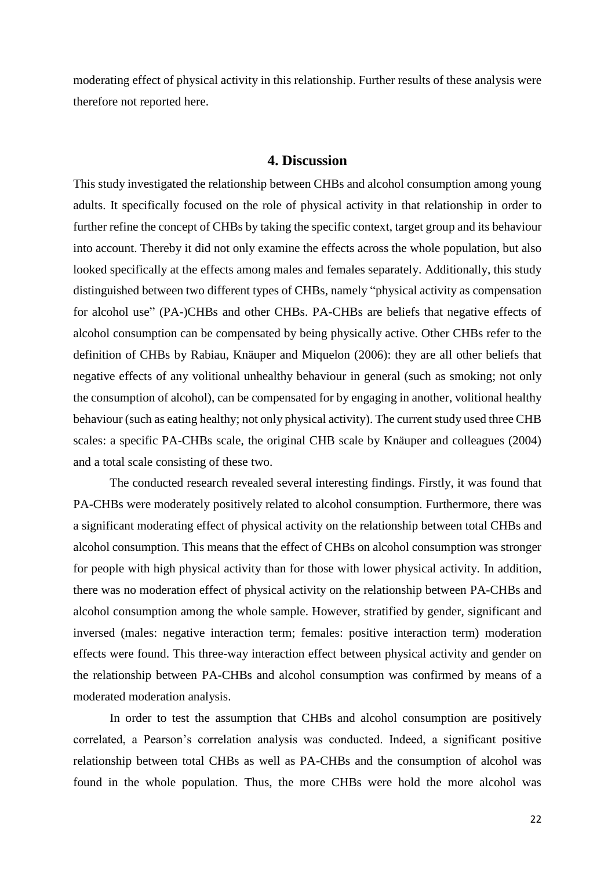moderating effect of physical activity in this relationship. Further results of these analysis were therefore not reported here.

# **4. Discussion**

<span id="page-24-0"></span>This study investigated the relationship between CHBs and alcohol consumption among young adults. It specifically focused on the role of physical activity in that relationship in order to further refine the concept of CHBs by taking the specific context, target group and its behaviour into account. Thereby it did not only examine the effects across the whole population, but also looked specifically at the effects among males and females separately. Additionally, this study distinguished between two different types of CHBs, namely "physical activity as compensation for alcohol use" (PA-)CHBs and other CHBs. PA-CHBs are beliefs that negative effects of alcohol consumption can be compensated by being physically active. Other CHBs refer to the definition of CHBs by Rabiau, Knäuper and Miquelon (2006): they are all other beliefs that negative effects of any volitional unhealthy behaviour in general (such as smoking; not only the consumption of alcohol), can be compensated for by engaging in another, volitional healthy behaviour (such as eating healthy; not only physical activity). The current study used three CHB scales: a specific PA-CHBs scale, the original CHB scale by Knäuper and colleagues (2004) and a total scale consisting of these two.

The conducted research revealed several interesting findings. Firstly, it was found that PA-CHBs were moderately positively related to alcohol consumption. Furthermore, there was a significant moderating effect of physical activity on the relationship between total CHBs and alcohol consumption. This means that the effect of CHBs on alcohol consumption was stronger for people with high physical activity than for those with lower physical activity. In addition, there was no moderation effect of physical activity on the relationship between PA-CHBs and alcohol consumption among the whole sample. However, stratified by gender, significant and inversed (males: negative interaction term; females: positive interaction term) moderation effects were found. This three-way interaction effect between physical activity and gender on the relationship between PA-CHBs and alcohol consumption was confirmed by means of a moderated moderation analysis.

In order to test the assumption that CHBs and alcohol consumption are positively correlated, a Pearson's correlation analysis was conducted. Indeed, a significant positive relationship between total CHBs as well as PA-CHBs and the consumption of alcohol was found in the whole population. Thus, the more CHBs were hold the more alcohol was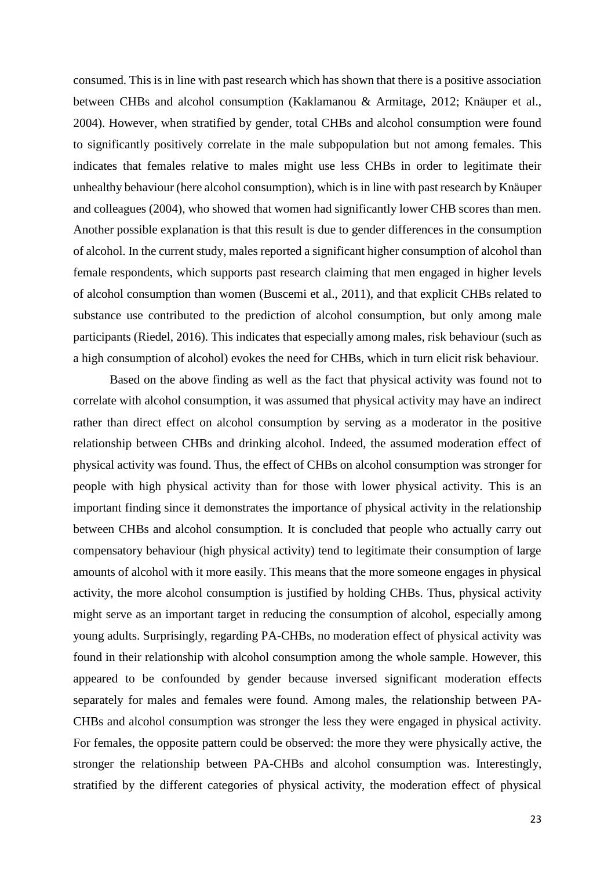consumed. This is in line with past research which has shown that there is a positive association between CHBs and alcohol consumption (Kaklamanou & Armitage, 2012; Knäuper et al., 2004). However, when stratified by gender, total CHBs and alcohol consumption were found to significantly positively correlate in the male subpopulation but not among females. This indicates that females relative to males might use less CHBs in order to legitimate their unhealthy behaviour (here alcohol consumption), which is in line with past research by Knäuper and colleagues (2004), who showed that women had significantly lower CHB scores than men. Another possible explanation is that this result is due to gender differences in the consumption of alcohol. In the current study, males reported a significant higher consumption of alcohol than female respondents, which supports past research claiming that men engaged in higher levels of alcohol consumption than women (Buscemi et al., 2011), and that explicit CHBs related to substance use contributed to the prediction of alcohol consumption, but only among male participants (Riedel, 2016). This indicates that especially among males, risk behaviour (such as a high consumption of alcohol) evokes the need for CHBs, which in turn elicit risk behaviour.

Based on the above finding as well as the fact that physical activity was found not to correlate with alcohol consumption, it was assumed that physical activity may have an indirect rather than direct effect on alcohol consumption by serving as a moderator in the positive relationship between CHBs and drinking alcohol. Indeed, the assumed moderation effect of physical activity was found. Thus, the effect of CHBs on alcohol consumption was stronger for people with high physical activity than for those with lower physical activity. This is an important finding since it demonstrates the importance of physical activity in the relationship between CHBs and alcohol consumption. It is concluded that people who actually carry out compensatory behaviour (high physical activity) tend to legitimate their consumption of large amounts of alcohol with it more easily. This means that the more someone engages in physical activity, the more alcohol consumption is justified by holding CHBs. Thus, physical activity might serve as an important target in reducing the consumption of alcohol, especially among young adults. Surprisingly, regarding PA-CHBs, no moderation effect of physical activity was found in their relationship with alcohol consumption among the whole sample. However, this appeared to be confounded by gender because inversed significant moderation effects separately for males and females were found. Among males, the relationship between PA-CHBs and alcohol consumption was stronger the less they were engaged in physical activity. For females, the opposite pattern could be observed: the more they were physically active, the stronger the relationship between PA-CHBs and alcohol consumption was. Interestingly, stratified by the different categories of physical activity, the moderation effect of physical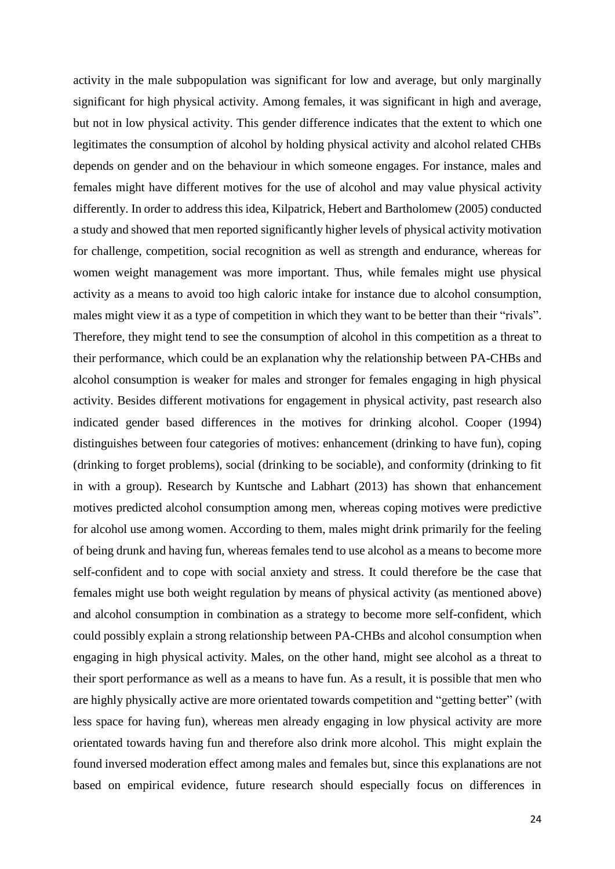activity in the male subpopulation was significant for low and average, but only marginally significant for high physical activity. Among females, it was significant in high and average, but not in low physical activity. This gender difference indicates that the extent to which one legitimates the consumption of alcohol by holding physical activity and alcohol related CHBs depends on gender and on the behaviour in which someone engages. For instance, males and females might have different motives for the use of alcohol and may value physical activity differently. In order to address this idea, Kilpatrick, Hebert and Bartholomew (2005) conducted a study and showed that men reported significantly higher levels of physical activity motivation for challenge, competition, social recognition as well as strength and endurance, whereas for women weight management was more important. Thus, while females might use physical activity as a means to avoid too high caloric intake for instance due to alcohol consumption, males might view it as a type of competition in which they want to be better than their "rivals". Therefore, they might tend to see the consumption of alcohol in this competition as a threat to their performance, which could be an explanation why the relationship between PA-CHBs and alcohol consumption is weaker for males and stronger for females engaging in high physical activity. Besides different motivations for engagement in physical activity, past research also indicated gender based differences in the motives for drinking alcohol. Cooper (1994) distinguishes between four categories of motives: enhancement (drinking to have fun), coping (drinking to forget problems), social (drinking to be sociable), and conformity (drinking to fit in with a group). Research by Kuntsche and Labhart (2013) has shown that enhancement motives predicted alcohol consumption among men, whereas coping motives were predictive for alcohol use among women. According to them, males might drink primarily for the feeling of being drunk and having fun, whereas females tend to use alcohol as a means to become more self-confident and to cope with social anxiety and stress. It could therefore be the case that females might use both weight regulation by means of physical activity (as mentioned above) and alcohol consumption in combination as a strategy to become more self-confident, which could possibly explain a strong relationship between PA-CHBs and alcohol consumption when engaging in high physical activity. Males, on the other hand, might see alcohol as a threat to their sport performance as well as a means to have fun. As a result, it is possible that men who are highly physically active are more orientated towards competition and "getting better" (with less space for having fun), whereas men already engaging in low physical activity are more orientated towards having fun and therefore also drink more alcohol. This might explain the found inversed moderation effect among males and females but, since this explanations are not based on empirical evidence, future research should especially focus on differences in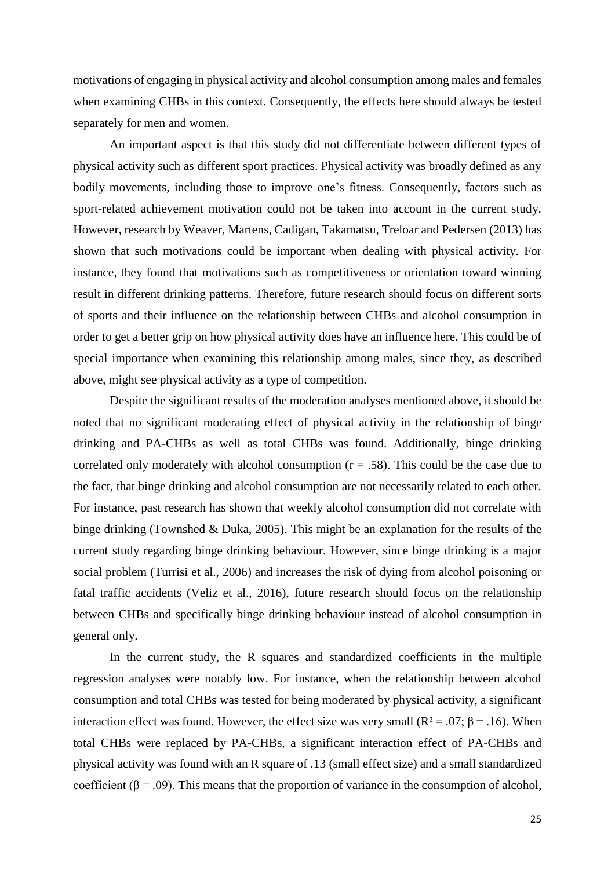motivations of engaging in physical activity and alcohol consumption among males and females when examining CHBs in this context. Consequently, the effects here should always be tested separately for men and women.

An important aspect is that this study did not differentiate between different types of physical activity such as different sport practices. Physical activity was broadly defined as any bodily movements, including those to improve one's fitness. Consequently, factors such as sport-related achievement motivation could not be taken into account in the current study. However, research by Weaver, Martens, Cadigan, Takamatsu, Treloar and Pedersen (2013) has shown that such motivations could be important when dealing with physical activity. For instance, they found that motivations such as competitiveness or orientation toward winning result in different drinking patterns. Therefore, future research should focus on different sorts of sports and their influence on the relationship between CHBs and alcohol consumption in order to get a better grip on how physical activity does have an influence here. This could be of special importance when examining this relationship among males, since they, as described above, might see physical activity as a type of competition.

Despite the significant results of the moderation analyses mentioned above, it should be noted that no significant moderating effect of physical activity in the relationship of binge drinking and PA-CHBs as well as total CHBs was found. Additionally, binge drinking correlated only moderately with alcohol consumption  $(r = .58)$ . This could be the case due to the fact, that binge drinking and alcohol consumption are not necessarily related to each other. For instance, past research has shown that weekly alcohol consumption did not correlate with binge drinking (Townshed & Duka, 2005). This might be an explanation for the results of the current study regarding binge drinking behaviour. However, since binge drinking is a major social problem (Turrisi et al., 2006) and increases the risk of dying from alcohol poisoning or fatal traffic accidents (Veliz et al., 2016), future research should focus on the relationship between CHBs and specifically binge drinking behaviour instead of alcohol consumption in general only.

In the current study, the R squares and standardized coefficients in the multiple regression analyses were notably low. For instance, when the relationship between alcohol consumption and total CHBs was tested for being moderated by physical activity, a significant interaction effect was found. However, the effect size was very small ( $R^2 = .07$ ;  $\beta = .16$ ). When total CHBs were replaced by PA-CHBs, a significant interaction effect of PA-CHBs and physical activity was found with an R square of .13 (small effect size) and a small standardized coefficient ( $\beta$  = .09). This means that the proportion of variance in the consumption of alcohol,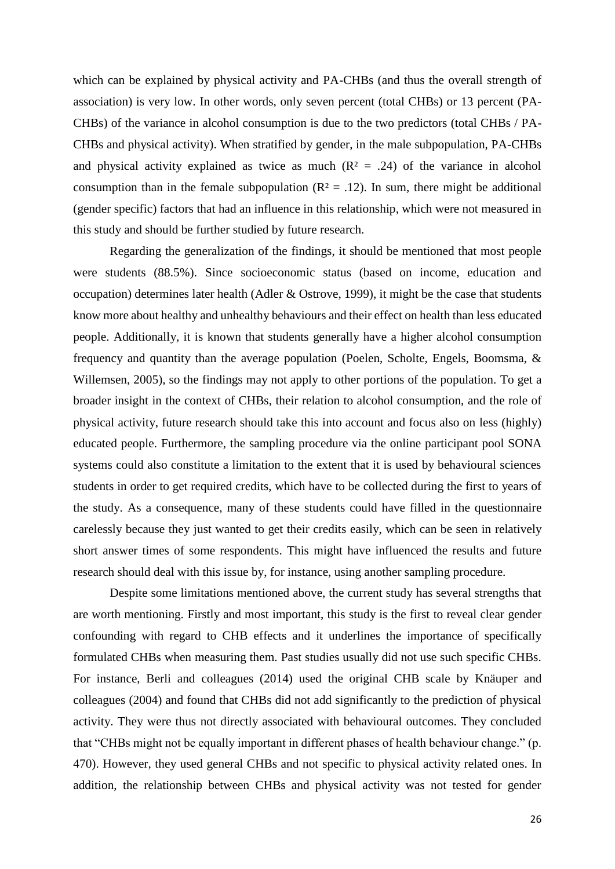which can be explained by physical activity and PA-CHBs (and thus the overall strength of association) is very low. In other words, only seven percent (total CHBs) or 13 percent (PA-CHBs) of the variance in alcohol consumption is due to the two predictors (total CHBs / PA-CHBs and physical activity). When stratified by gender, in the male subpopulation, PA-CHBs and physical activity explained as twice as much  $(R<sup>2</sup> = .24)$  of the variance in alcohol consumption than in the female subpopulation ( $R^2 = .12$ ). In sum, there might be additional (gender specific) factors that had an influence in this relationship, which were not measured in this study and should be further studied by future research.

Regarding the generalization of the findings, it should be mentioned that most people were students (88.5%). Since socioeconomic status (based on income, education and occupation) determines later health (Adler & Ostrove, 1999), it might be the case that students know more about healthy and unhealthy behaviours and their effect on health than less educated people. Additionally, it is known that students generally have a higher alcohol consumption frequency and quantity than the average population (Poelen, Scholte, Engels, Boomsma, & Willemsen, 2005), so the findings may not apply to other portions of the population. To get a broader insight in the context of CHBs, their relation to alcohol consumption, and the role of physical activity, future research should take this into account and focus also on less (highly) educated people. Furthermore, the sampling procedure via the online participant pool SONA systems could also constitute a limitation to the extent that it is used by behavioural sciences students in order to get required credits, which have to be collected during the first to years of the study. As a consequence, many of these students could have filled in the questionnaire carelessly because they just wanted to get their credits easily, which can be seen in relatively short answer times of some respondents. This might have influenced the results and future research should deal with this issue by, for instance, using another sampling procedure.

Despite some limitations mentioned above, the current study has several strengths that are worth mentioning. Firstly and most important, this study is the first to reveal clear gender confounding with regard to CHB effects and it underlines the importance of specifically formulated CHBs when measuring them. Past studies usually did not use such specific CHBs. For instance, Berli and colleagues (2014) used the original CHB scale by Knäuper and colleagues (2004) and found that CHBs did not add significantly to the prediction of physical activity. They were thus not directly associated with behavioural outcomes. They concluded that "CHBs might not be equally important in different phases of health behaviour change." (p. 470). However, they used general CHBs and not specific to physical activity related ones. In addition, the relationship between CHBs and physical activity was not tested for gender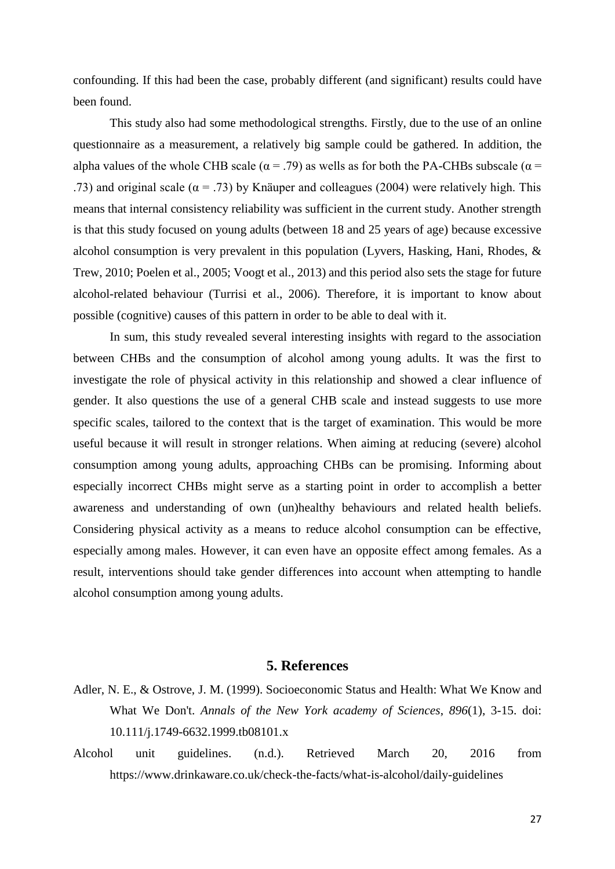confounding. If this had been the case, probably different (and significant) results could have been found.

This study also had some methodological strengths. Firstly, due to the use of an online questionnaire as a measurement, a relatively big sample could be gathered. In addition, the alpha values of the whole CHB scale ( $\alpha$  = .79) as wells as for both the PA-CHBs subscale ( $\alpha$  = .73) and original scale ( $\alpha$  = .73) by Knäuper and colleagues (2004) were relatively high. This means that internal consistency reliability was sufficient in the current study. Another strength is that this study focused on young adults (between 18 and 25 years of age) because excessive alcohol consumption is very prevalent in this population (Lyvers, Hasking, Hani, Rhodes, & Trew, 2010; Poelen et al., 2005; Voogt et al., 2013) and this period also sets the stage for future alcohol-related behaviour (Turrisi et al., 2006). Therefore, it is important to know about possible (cognitive) causes of this pattern in order to be able to deal with it.

In sum, this study revealed several interesting insights with regard to the association between CHBs and the consumption of alcohol among young adults. It was the first to investigate the role of physical activity in this relationship and showed a clear influence of gender. It also questions the use of a general CHB scale and instead suggests to use more specific scales, tailored to the context that is the target of examination. This would be more useful because it will result in stronger relations. When aiming at reducing (severe) alcohol consumption among young adults, approaching CHBs can be promising. Informing about especially incorrect CHBs might serve as a starting point in order to accomplish a better awareness and understanding of own (un)healthy behaviours and related health beliefs. Considering physical activity as a means to reduce alcohol consumption can be effective, especially among males. However, it can even have an opposite effect among females. As a result, interventions should take gender differences into account when attempting to handle alcohol consumption among young adults.

# **5. References**

- <span id="page-29-0"></span>Adler, N. E., & Ostrove, J. M. (1999). Socioeconomic Status and Health: What We Know and What We Don't. *Annals of the New York academy of Sciences*, *896*(1), 3-15. doi: 10.111/j.1749-6632.1999.tb08101.x
- Alcohol unit guidelines. (n.d.). Retrieved March 20, 2016 from https://www.drinkaware.co.uk/check-the-facts/what-is-alcohol/daily-guidelines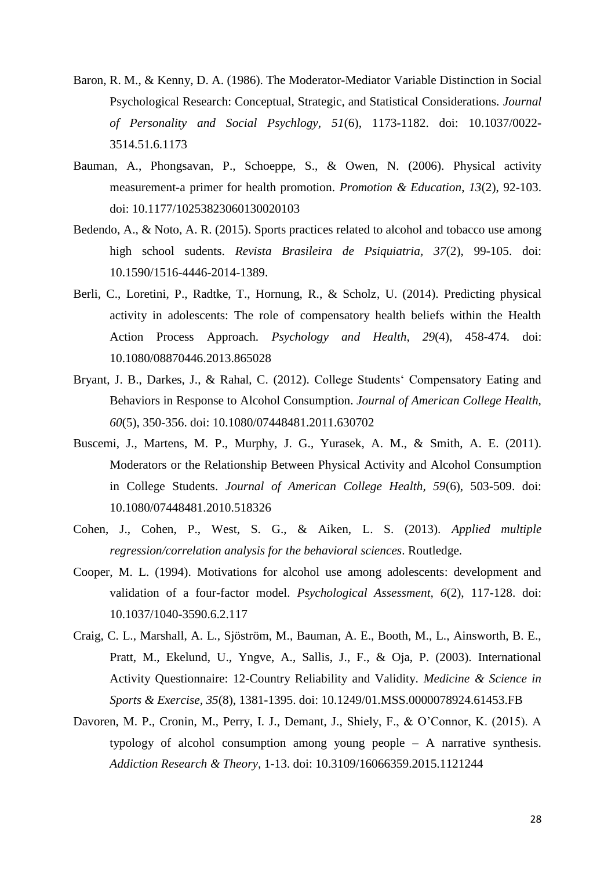- Baron, R. M., & Kenny, D. A. (1986). The Moderator-Mediator Variable Distinction in Social Psychological Research: Conceptual, Strategic, and Statistical Considerations. *Journal of Personality and Social Psychlogy, 51*(6), 1173-1182. doi: 10.1037/0022- 3514.51.6.1173
- Bauman, A., Phongsavan, P., Schoeppe, S., & Owen, N. (2006). Physical activity measurement-a primer for health promotion. *Promotion & Education*, *13*(2), 92-103. doi: 10.1177/10253823060130020103
- Bedendo, A., & Noto, A. R. (2015). Sports practices related to alcohol and tobacco use among high school sudents. *Revista Brasileira de Psiquiatria, 37*(2), 99-105. doi: 10.1590/1516-4446-2014-1389.
- Berli, C., Loretini, P., Radtke, T., Hornung, R., & Scholz, U. (2014). Predicting physical activity in adolescents: The role of compensatory health beliefs within the Health Action Process Approach. *Psychology and Health*, *29*(4), 458-474. doi: 10.1080/08870446.2013.865028
- Bryant, J. B., Darkes, J., & Rahal, C. (2012). College Students' Compensatory Eating and Behaviors in Response to Alcohol Consumption. *Journal of American College Health, 60*(5), 350-356. doi: 10.1080/07448481.2011.630702
- Buscemi, J., Martens, M. P., Murphy, J. G., Yurasek, A. M., & Smith, A. E. (2011). Moderators or the Relationship Between Physical Activity and Alcohol Consumption in College Students. *Journal of American College Health, 59*(6), 503-509. doi: 10.1080/07448481.2010.518326
- Cohen, J., Cohen, P., West, S. G., & Aiken, L. S. (2013). *Applied multiple regression/correlation analysis for the behavioral sciences*. Routledge.
- Cooper, M. L. (1994). Motivations for alcohol use among adolescents: development and validation of a four-factor model. *Psychological Assessment, 6*(2), 117-128. doi: 10.1037/1040-3590.6.2.117
- Craig, C. L., Marshall, A. L., Sjöström, M., Bauman, A. E., Booth, M., L., Ainsworth, B. E., Pratt, M., Ekelund, U., Yngve, A., Sallis, J., F., & Oja, P. (2003). International Activity Questionnaire: 12-Country Reliability and Validity. *Medicine & Science in Sports & Exercise, 35*(8), 1381-1395. doi: 10.1249/01.MSS.0000078924.61453.FB
- Davoren, M. P., Cronin, M., Perry, I. J., Demant, J., Shiely, F., & O'Connor, K. (2015). A typology of alcohol consumption among young people – A narrative synthesis. *Addiction Research & Theory,* 1-13. doi: 10.3109/16066359.2015.1121244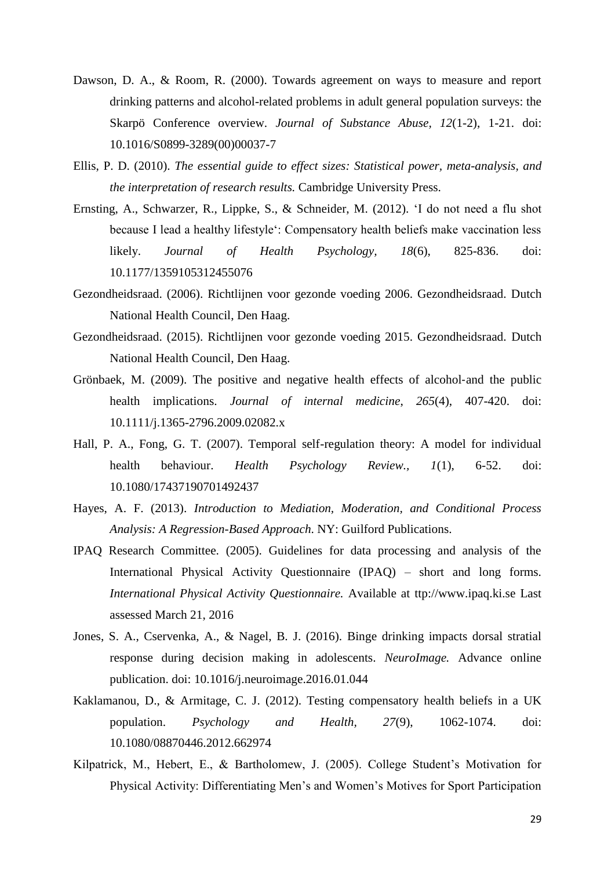- Dawson, D. A., & Room, R. (2000). Towards agreement on ways to measure and report drinking patterns and alcohol-related problems in adult general population surveys: the Skarpö Conference overview. *Journal of Substance Abuse, 12*(1-2), 1-21. doi: 10.1016/S0899-3289(00)00037-7
- Ellis, P. D. (2010). *The essential guide to effect sizes: Statistical power, meta-analysis, and the interpretation of research results.* Cambridge University Press.
- Ernsting, A., Schwarzer, R., Lippke, S., & Schneider, M. (2012). 'I do not need a flu shot because I lead a healthy lifestyle': Compensatory health beliefs make vaccination less likely. *Journal of Health Psychology, 18*(6), 825-836. doi: 10.1177/1359105312455076
- Gezondheidsraad. (2006). Richtlijnen voor gezonde voeding 2006. Gezondheidsraad. Dutch National Health Council, Den Haag.
- Gezondheidsraad. (2015). Richtlijnen voor gezonde voeding 2015. Gezondheidsraad. Dutch National Health Council, Den Haag.
- Grönbaek, M. (2009). The positive and negative health effects of alcohol‐and the public health implications. *Journal of internal medicine*, *265*(4), 407-420. doi: 10.1111/j.1365-2796.2009.02082.x
- Hall, P. A., Fong, G. T. (2007). Temporal self-regulation theory: A model for individual health behaviour. *Health Psychology Review., 1*(1), 6-52. doi: 10.1080/17437190701492437
- Hayes, A. F. (2013). *Introduction to Mediation, Moderation, and Conditional Process Analysis: A Regression-Based Approach*. NY: Guilford Publications.
- IPAQ Research Committee. (2005). Guidelines for data processing and analysis of the International Physical Activity Questionnaire (IPAQ) – short and long forms. *International Physical Activity Questionnaire.* Available at ttp://www.ipaq.ki.se Last assessed March 21, 2016
- Jones, S. A., Cservenka, A., & Nagel, B. J. (2016). Binge drinking impacts dorsal stratial response during decision making in adolescents. *NeuroImage.* Advance online publication. doi: 10.1016/j.neuroimage.2016.01.044
- Kaklamanou, D., & Armitage, C. J. (2012). Testing compensatory health beliefs in a UK population. *Psychology and Health, 27*(9), 1062-1074. doi: 10.1080/08870446.2012.662974
- Kilpatrick, M., Hebert, E., & Bartholomew, J. (2005). College Student's Motivation for Physical Activity: Differentiating Men's and Women's Motives for Sport Participation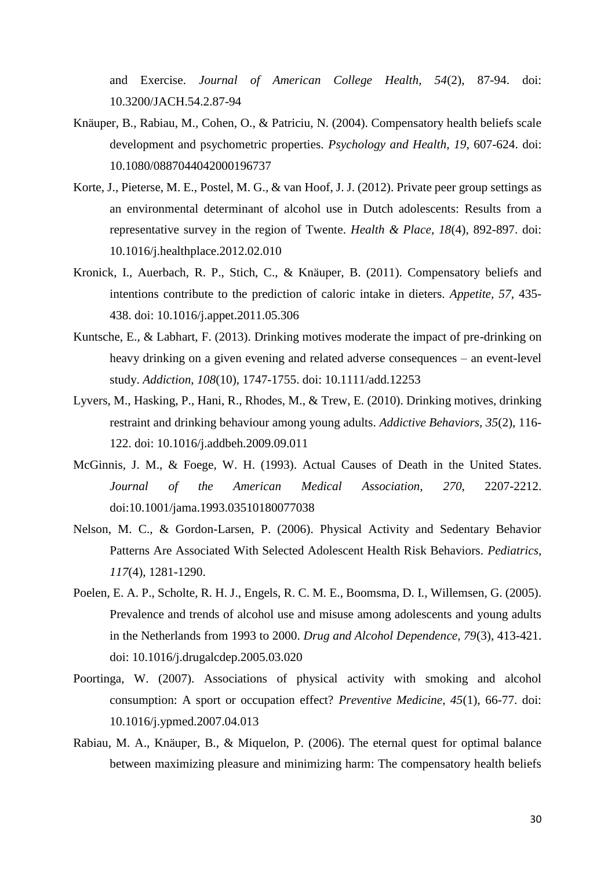and Exercise. *Journal of American College Health, 54*(2), 87-94. doi: 10.3200/JACH.54.2.87-94

- Knäuper, B., Rabiau, M., Cohen, O., & Patriciu, N. (2004). Compensatory health beliefs scale development and psychometric properties. *Psychology and Health, 19*, 607-624. doi: 10.1080/0887044042000196737
- Korte, J., Pieterse, M. E., Postel, M. G., & van Hoof, J. J. (2012). Private peer group settings as an environmental determinant of alcohol use in Dutch adolescents: Results from a representative survey in the region of Twente. *Health & Place, 18*(4), 892-897. doi: 10.1016/j.healthplace.2012.02.010
- Kronick, I., Auerbach, R. P., Stich, C., & Knäuper, B. (2011). Compensatory beliefs and intentions contribute to the prediction of caloric intake in dieters. *Appetite, 57*, 435- 438. doi: 10.1016/j.appet.2011.05.306
- Kuntsche, E., & Labhart, F. (2013). Drinking motives moderate the impact of pre-drinking on heavy drinking on a given evening and related adverse consequences – an event-level study. *Addiction, 108*(10), 1747-1755. doi: 10.1111/add.12253
- Lyvers, M., Hasking, P., Hani, R., Rhodes, M., & Trew, E. (2010). Drinking motives, drinking restraint and drinking behaviour among young adults. *Addictive Behaviors, 35*(2), 116- 122. doi: 10.1016/j.addbeh.2009.09.011
- McGinnis, J. M., & Foege, W. H. (1993). Actual Causes of Death in the United States. *Journal of the American Medical Association, 270*, 2207-2212. doi:10.1001/jama.1993.03510180077038
- Nelson, M. C., & Gordon-Larsen, P. (2006). Physical Activity and Sedentary Behavior Patterns Are Associated With Selected Adolescent Health Risk Behaviors. *Pediatrics, 117*(4), 1281-1290.
- Poelen, E. A. P., Scholte, R. H. J., Engels, R. C. M. E., Boomsma, D. I., Willemsen, G. (2005). Prevalence and trends of alcohol use and misuse among adolescents and young adults in the Netherlands from 1993 to 2000. *Drug and Alcohol Dependence, 79*(3), 413-421. doi: 10.1016/j.drugalcdep.2005.03.020
- Poortinga, W. (2007). Associations of physical activity with smoking and alcohol consumption: A sport or occupation effect? *Preventive Medicine, 45*(1), 66-77. doi: 10.1016/j.ypmed.2007.04.013
- Rabiau, M. A., Knäuper, B., & Miquelon, P. (2006). The eternal quest for optimal balance between maximizing pleasure and minimizing harm: The compensatory health beliefs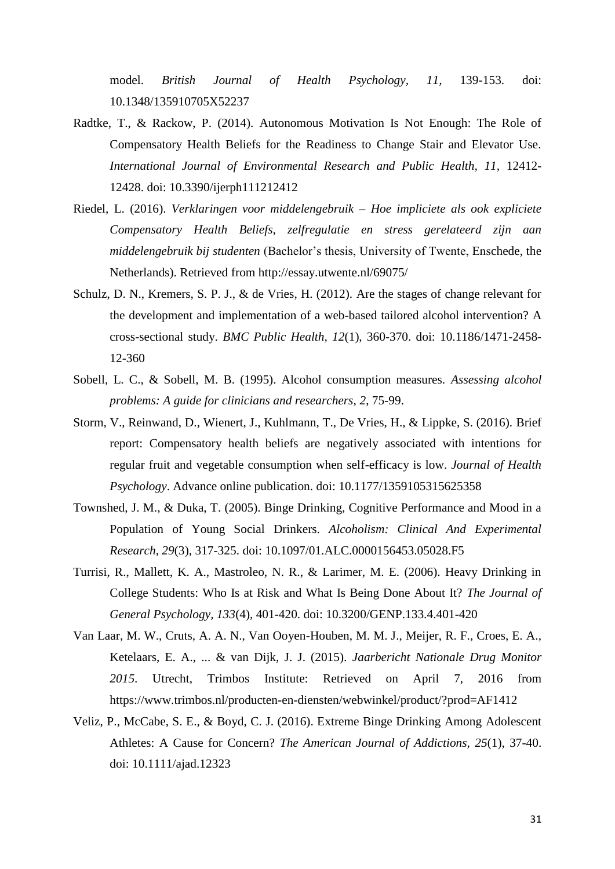model. *British Journal of Health Psychology, 11,* 139-153. doi: 10.1348/135910705X52237

- Radtke, T., & Rackow, P. (2014). Autonomous Motivation Is Not Enough: The Role of Compensatory Health Beliefs for the Readiness to Change Stair and Elevator Use. *International Journal of Environmental Research and Public Health, 11,* 12412- 12428. doi: 10.3390/ijerph111212412
- Riedel, L. (2016). *Verklaringen voor middelengebruik – Hoe impliciete als ook expliciete Compensatory Health Beliefs, zelfregulatie en stress gerelateerd zijn aan middelengebruik bij studenten* (Bachelor's thesis, University of Twente, Enschede, the Netherlands). Retrieved from http://essay.utwente.nl/69075/
- Schulz, D. N., Kremers, S. P. J., & de Vries, H. (2012). Are the stages of change relevant for the development and implementation of a web-based tailored alcohol intervention? A cross-sectional study. *BMC Public Health, 12*(1), 360-370. doi: 10.1186/1471-2458- 12-360
- Sobell, L. C., & Sobell, M. B. (1995). Alcohol consumption measures. *Assessing alcohol problems: A guide for clinicians and researchers*, *2*, 75-99.
- Storm, V., Reinwand, D., Wienert, J., Kuhlmann, T., De Vries, H., & Lippke, S. (2016). Brief report: Compensatory health beliefs are negatively associated with intentions for regular fruit and vegetable consumption when self-efficacy is low. *Journal of Health Psychology*. Advance online publication. doi: 10.1177/1359105315625358
- Townshed, J. M., & Duka, T. (2005). Binge Drinking, Cognitive Performance and Mood in a Population of Young Social Drinkers. *Alcoholism: Clinical And Experimental Research, 29*(3), 317-325. doi: 10.1097/01.ALC.0000156453.05028.F5
- Turrisi, R., Mallett, K. A., Mastroleo, N. R., & Larimer, M. E. (2006). Heavy Drinking in College Students: Who Is at Risk and What Is Being Done About It? *The Journal of General Psychology, 133*(4), 401-420. doi: 10.3200/GENP.133.4.401-420
- Van Laar, M. W., Cruts, A. A. N., Van Ooyen-Houben, M. M. J., Meijer, R. F., Croes, E. A., Ketelaars, E. A., ... & van Dijk, J. J. (2015). *Jaarbericht Nationale Drug Monitor 2015*. Utrecht, Trimbos Institute: Retrieved on April 7, 2016 from https://www.trimbos.nl/producten-en-diensten/webwinkel/product/?prod=AF1412
- Veliz, P., McCabe, S. E., & Boyd, C. J. (2016). Extreme Binge Drinking Among Adolescent Athletes: A Cause for Concern? *The American Journal of Addictions, 25*(1), 37-40. doi: 10.1111/ajad.12323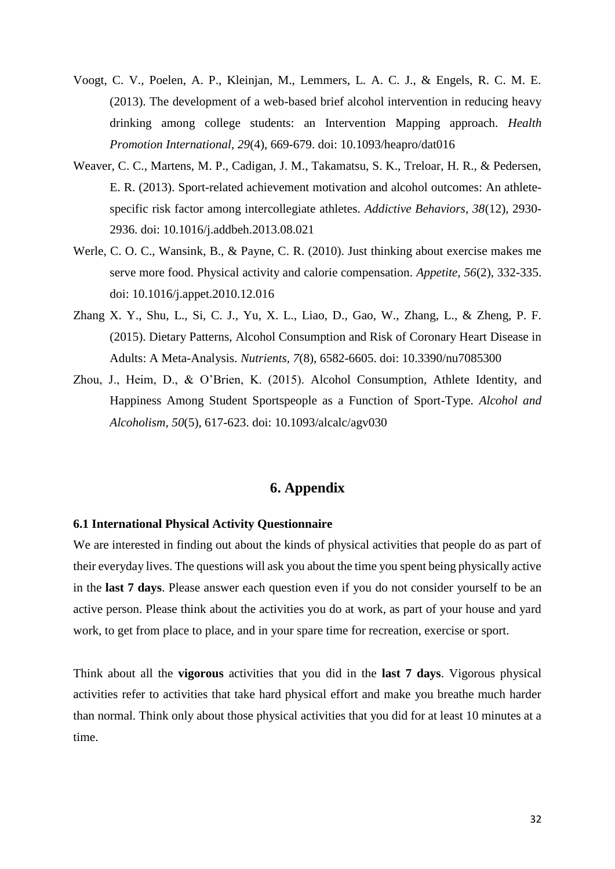- Voogt, C. V., Poelen, A. P., Kleinjan, M., Lemmers, L. A. C. J., & Engels, R. C. M. E. (2013). The development of a web-based brief alcohol intervention in reducing heavy drinking among college students: an Intervention Mapping approach. *Health Promotion International, 29*(4), 669-679. doi: 10.1093/heapro/dat016
- Weaver, C. C., Martens, M. P., Cadigan, J. M., Takamatsu, S. K., Treloar, H. R., & Pedersen, E. R. (2013). Sport-related achievement motivation and alcohol outcomes: An athletespecific risk factor among intercollegiate athletes. *Addictive Behaviors, 38*(12), 2930- 2936. doi: 10.1016/j.addbeh.2013.08.021
- Werle, C. O. C., Wansink, B., & Payne, C. R. (2010). Just thinking about exercise makes me serve more food. Physical activity and calorie compensation. *Appetite, 56*(2), 332-335. doi: 10.1016/j.appet.2010.12.016
- Zhang X. Y., Shu, L., Si, C. J., Yu, X. L., Liao, D., Gao, W., Zhang, L., & Zheng, P. F. (2015). Dietary Patterns, Alcohol Consumption and Risk of Coronary Heart Disease in Adults: A Meta-Analysis. *Nutrients, 7*(8), 6582-6605. doi: 10.3390/nu7085300
- Zhou, J., Heim, D., & O'Brien, K. (2015). Alcohol Consumption, Athlete Identity, and Happiness Among Student Sportspeople as a Function of Sport-Type. *Alcohol and Alcoholism, 50*(5), 617-623. doi: 10.1093/alcalc/agv030

# **6. Appendix**

#### <span id="page-34-1"></span><span id="page-34-0"></span>**6.1 International Physical Activity Questionnaire**

We are interested in finding out about the kinds of physical activities that people do as part of their everyday lives. The questions will ask you about the time you spent being physically active in the **last 7 days**. Please answer each question even if you do not consider yourself to be an active person. Please think about the activities you do at work, as part of your house and yard work, to get from place to place, and in your spare time for recreation, exercise or sport.

Think about all the **vigorous** activities that you did in the **last 7 days**. Vigorous physical activities refer to activities that take hard physical effort and make you breathe much harder than normal. Think only about those physical activities that you did for at least 10 minutes at a time.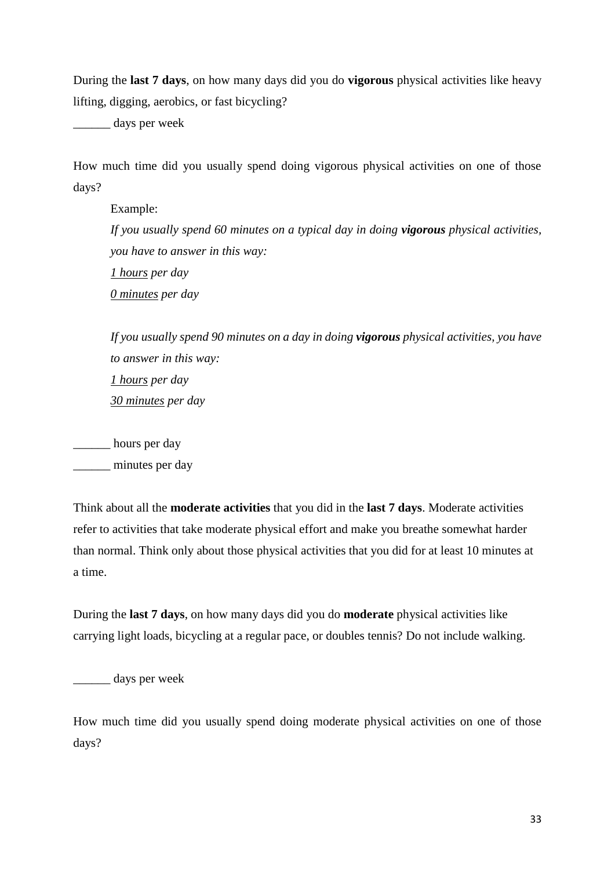During the **last 7 days**, on how many days did you do **vigorous** physical activities like heavy lifting, digging, aerobics, or fast bicycling?

days per week

How much time did you usually spend doing vigorous physical activities on one of those days?

Example: *If you usually spend 60 minutes on a typical day in doing vigorous physical activities, you have to answer in this way: 1 hours per day 0 minutes per day*

*If you usually spend 90 minutes on a day in doing vigorous physical activities, you have to answer in this way: 1 hours per day 30 minutes per day*

\_\_\_\_\_\_ hours per day

minutes per day

Think about all the **moderate activities** that you did in the **last 7 days**. Moderate activities refer to activities that take moderate physical effort and make you breathe somewhat harder than normal. Think only about those physical activities that you did for at least 10 minutes at a time.

During the **last 7 days**, on how many days did you do **moderate** physical activities like carrying light loads, bicycling at a regular pace, or doubles tennis? Do not include walking.

\_\_\_\_\_\_ days per week

How much time did you usually spend doing moderate physical activities on one of those days?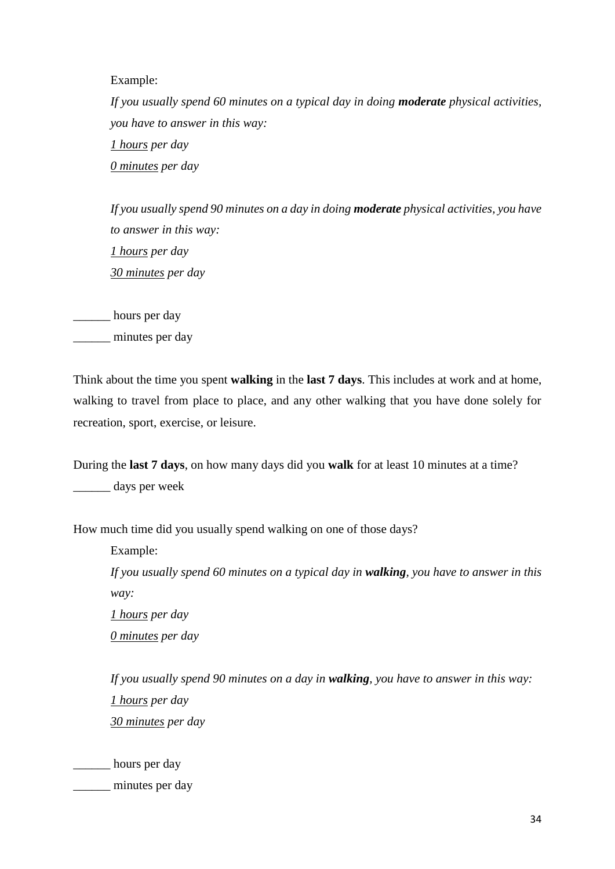Example:

*If you usually spend 60 minutes on a typical day in doing moderate physical activities, you have to answer in this way: 1 hours per day 0 minutes per day*

*If you usually spend 90 minutes on a day in doing moderate physical activities, you have to answer in this way: 1 hours per day 30 minutes per day*

\_\_\_\_\_\_ hours per day

\_\_\_\_\_\_ minutes per day

Think about the time you spent **walking** in the **last 7 days**. This includes at work and at home, walking to travel from place to place, and any other walking that you have done solely for recreation, sport, exercise, or leisure.

During the **last 7 days**, on how many days did you **walk** for at least 10 minutes at a time? \_\_\_\_\_\_ days per week

How much time did you usually spend walking on one of those days?

Example: *If you usually spend 60 minutes on a typical day in walking, you have to answer in this way: 1 hours per day*

*0 minutes per day*

*If you usually spend 90 minutes on a day in walking, you have to answer in this way: 1 hours per day 30 minutes per day*

\_\_\_\_\_\_ hours per day minutes per day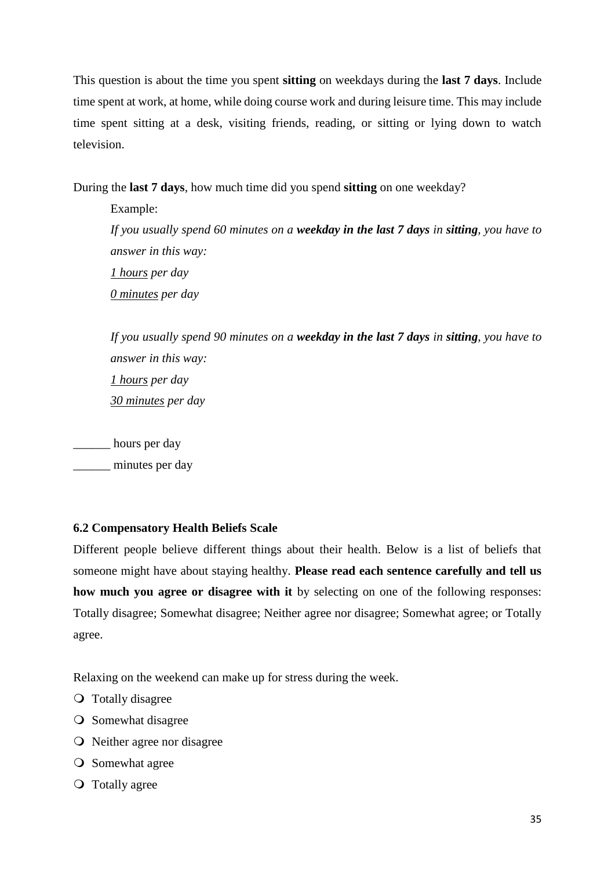This question is about the time you spent **sitting** on weekdays during the **last 7 days**. Include time spent at work, at home, while doing course work and during leisure time. This may include time spent sitting at a desk, visiting friends, reading, or sitting or lying down to watch television.

During the **last 7 days**, how much time did you spend **sitting** on one weekday?

Example: *If you usually spend 60 minutes on a weekday in the last 7 days in sitting, you have to answer in this way: 1 hours per day 0 minutes per day*

*If you usually spend 90 minutes on a weekday in the last 7 days in sitting, you have to answer in this way: 1 hours per day 30 minutes per day*

\_\_\_\_\_\_ hours per day

minutes per day

# <span id="page-37-0"></span>**6.2 Compensatory Health Beliefs Scale**

Different people believe different things about their health. Below is a list of beliefs that someone might have about staying healthy. **Please read each sentence carefully and tell us how much you agree or disagree with it** by selecting on one of the following responses: Totally disagree; Somewhat disagree; Neither agree nor disagree; Somewhat agree; or Totally agree.

Relaxing on the weekend can make up for stress during the week.

- Totally disagree
- **O** Somewhat disagree
- Neither agree nor disagree
- **O** Somewhat agree
- **O** Totally agree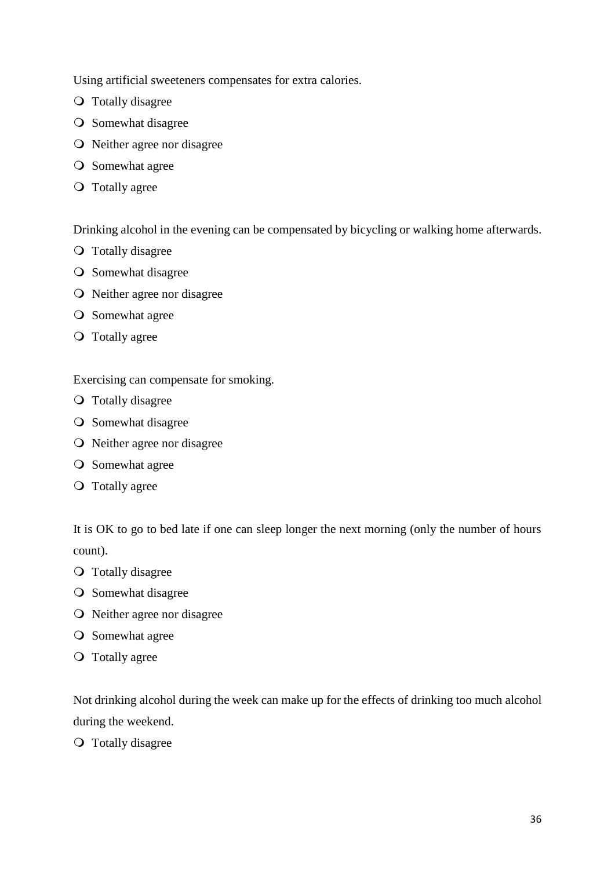Using artificial sweeteners compensates for extra calories.

- Totally disagree
- **O** Somewhat disagree
- O Neither agree nor disagree
- **O** Somewhat agree
- Totally agree

Drinking alcohol in the evening can be compensated by bicycling or walking home afterwards.

- Totally disagree
- **O** Somewhat disagree
- Neither agree nor disagree
- **O** Somewhat agree
- Totally agree

Exercising can compensate for smoking.

- Totally disagree
- **O** Somewhat disagree
- O Neither agree nor disagree
- **O** Somewhat agree
- Totally agree

It is OK to go to bed late if one can sleep longer the next morning (only the number of hours count).

- Totally disagree
- **O** Somewhat disagree
- O Neither agree nor disagree
- **O** Somewhat agree
- Totally agree

Not drinking alcohol during the week can make up for the effects of drinking too much alcohol during the weekend.

Totally disagree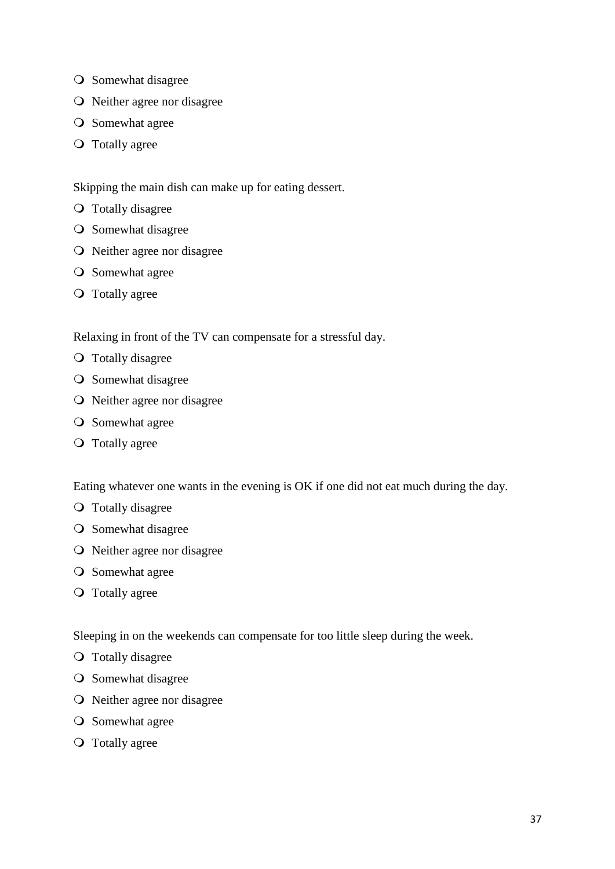- **O** Somewhat disagree
- O Neither agree nor disagree
- **O** Somewhat agree
- Totally agree

Skipping the main dish can make up for eating dessert.

- Totally disagree
- **O** Somewhat disagree
- O Neither agree nor disagree
- **O** Somewhat agree
- Totally agree

Relaxing in front of the TV can compensate for a stressful day.

- **O** Totally disagree
- **O** Somewhat disagree
- Neither agree nor disagree
- **O** Somewhat agree
- Totally agree

Eating whatever one wants in the evening is OK if one did not eat much during the day.

- **O** Totally disagree
- **O** Somewhat disagree
- O Neither agree nor disagree
- **O** Somewhat agree
- Totally agree

Sleeping in on the weekends can compensate for too little sleep during the week.

- Totally disagree
- O Somewhat disagree
- O Neither agree nor disagree
- **O** Somewhat agree
- Totally agree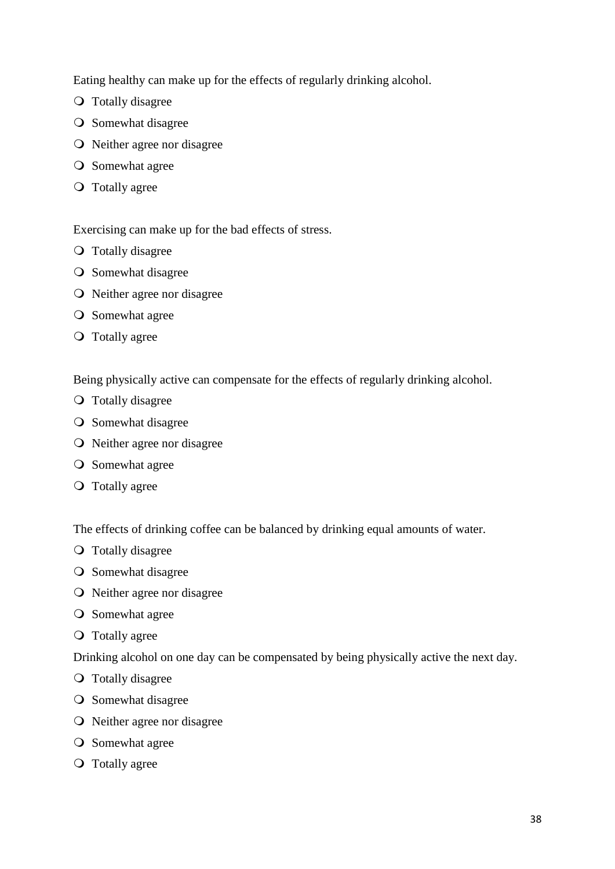Eating healthy can make up for the effects of regularly drinking alcohol.

- Totally disagree
- **O** Somewhat disagree
- O Neither agree nor disagree
- **O** Somewhat agree
- Totally agree

Exercising can make up for the bad effects of stress.

- Totally disagree
- **O** Somewhat disagree
- Neither agree nor disagree
- **O** Somewhat agree
- Totally agree

Being physically active can compensate for the effects of regularly drinking alcohol.

- Totally disagree
- **O** Somewhat disagree
- O Neither agree nor disagree
- **O** Somewhat agree
- Totally agree

The effects of drinking coffee can be balanced by drinking equal amounts of water.

- Totally disagree
- **O** Somewhat disagree
- Neither agree nor disagree
- **O** Somewhat agree
- Totally agree

Drinking alcohol on one day can be compensated by being physically active the next day.

- Totally disagree
- **O** Somewhat disagree
- Neither agree nor disagree
- **O** Somewhat agree
- Totally agree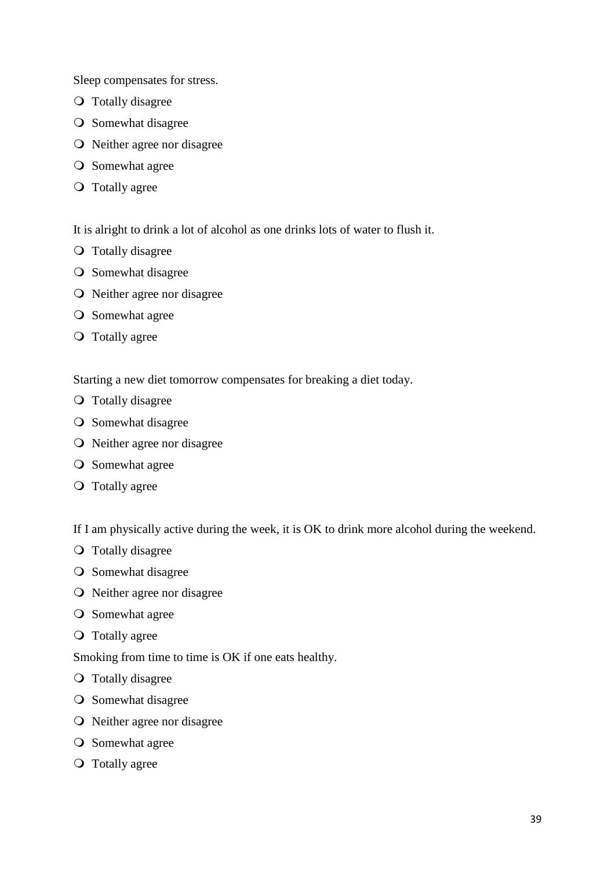Sleep compensates for stress.

- Totally disagree
- **O** Somewhat disagree
- O Neither agree nor disagree
- **O** Somewhat agree
- Totally agree

It is alright to drink a lot of alcohol as one drinks lots of water to flush it.

- Totally disagree
- **O** Somewhat disagree
- Neither agree nor disagree
- **O** Somewhat agree
- Totally agree

Starting a new diet tomorrow compensates for breaking a diet today.

- Totally disagree
- **O** Somewhat disagree
- O Neither agree nor disagree
- **O** Somewhat agree
- Totally agree

If I am physically active during the week, it is OK to drink more alcohol during the weekend.

- Totally disagree
- **O** Somewhat disagree
- O Neither agree nor disagree
- **O** Somewhat agree
- Totally agree

Smoking from time to time is OK if one eats healthy.

- Totally disagree
- **O** Somewhat disagree
- Neither agree nor disagree
- **O** Somewhat agree
- Totally agree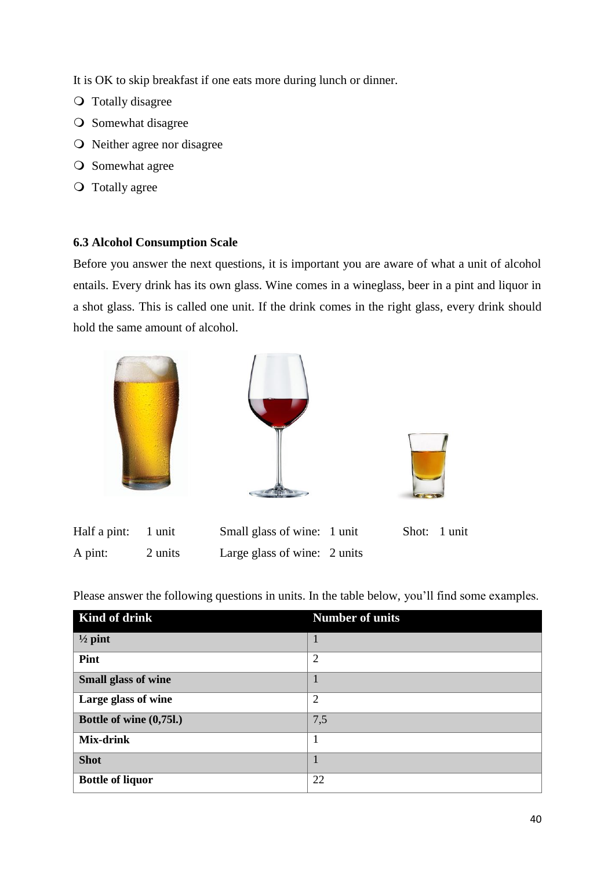It is OK to skip breakfast if one eats more during lunch or dinner.

- Totally disagree
- O Somewhat disagree
- O Neither agree nor disagree
- **O** Somewhat agree
- **O** Totally agree

# <span id="page-42-0"></span>**6.3 Alcohol Consumption Scale**

Before you answer the next questions, it is important you are aware of what a unit of alcohol entails. Every drink has its own glass. Wine comes in a wineglass, beer in a pint and liquor in a shot glass. This is called one unit. If the drink comes in the right glass, every drink should hold the same amount of alcohol.



Please answer the following questions in units. In the table below, you'll find some examples.

| Kind of drink              | <b>Number of units</b> |
|----------------------------|------------------------|
| $\frac{1}{2}$ pint         | $\mathbf{1}$           |
| Pint                       | $\overline{2}$         |
| <b>Small glass of wine</b> |                        |
| Large glass of wine        | $\overline{2}$         |
| Bottle of wine (0,75l.)    | 7,5                    |
| <b>Mix-drink</b>           | 1                      |
| <b>Shot</b>                |                        |
| <b>Bottle of liquor</b>    | 22                     |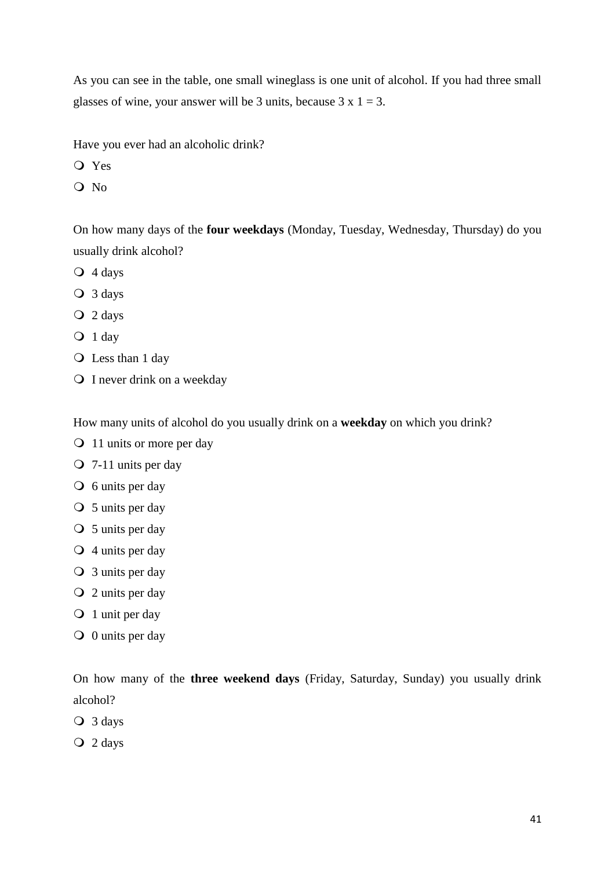As you can see in the table, one small wineglass is one unit of alcohol. If you had three small glasses of wine, your answer will be 3 units, because  $3 \times 1 = 3$ .

Have you ever had an alcoholic drink?

- Yes
- O No

On how many days of the **four weekdays** (Monday, Tuesday, Wednesday, Thursday) do you usually drink alcohol?

- 4 days
- 3 days
- 2 days
- $Q_1$  day
- Q Less than 1 day
- Q I never drink on a weekday

How many units of alcohol do you usually drink on a **weekday** on which you drink?

- 11 units or more per day
- 7-11 units per day
- $\overline{O}$  6 units per day
- $\bigcirc$  5 units per day
- $\bigcirc$  5 units per day
- $\bigcirc$  4 units per day
- 3 units per day
- $Q$  2 units per day
- O 1 unit per day
- $\bigcirc$  0 units per day

On how many of the **three weekend days** (Friday, Saturday, Sunday) you usually drink alcohol?

3 days

2 days